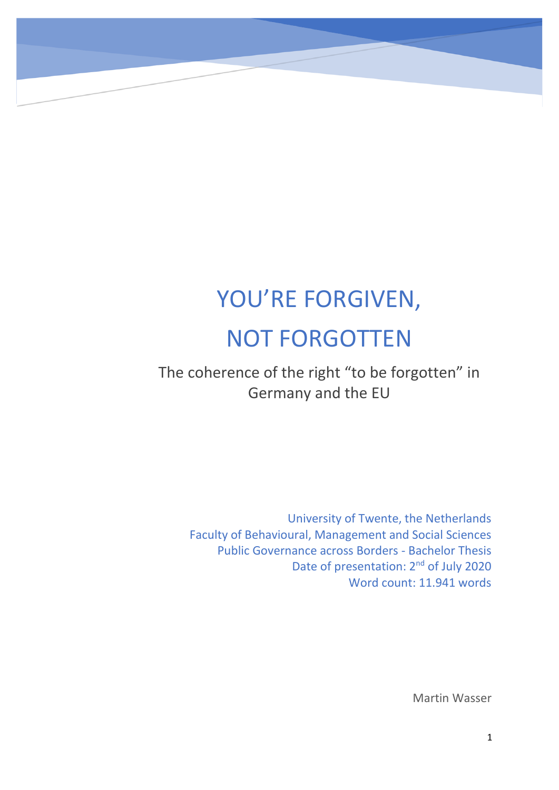# YOU'RE FORGIVEN, NOT FORGOTTEN

M

The coherence of the right "to be forgotten" in Germany and the EU

University of Twente, the Netherlands Faculty of Behavioural, Management and Social Sciences Public Governance across Borders - Bachelor Thesis Date of presentation: 2<sup>nd</sup> of July 2020 Word count: 11.941 words

Martin Wasser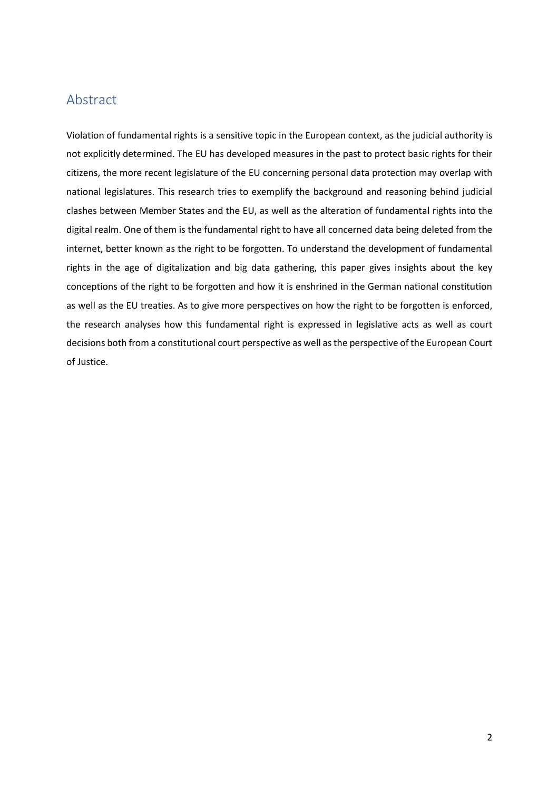# <span id="page-1-0"></span>Abstract

Violation of fundamental rights is a sensitive topic in the European context, as the judicial authority is not explicitly determined. The EU has developed measures in the past to protect basic rights for their citizens, the more recent legislature of the EU concerning personal data protection may overlap with national legislatures. This research tries to exemplify the background and reasoning behind judicial clashes between Member States and the EU, as well as the alteration of fundamental rights into the digital realm. One of them is the fundamental right to have all concerned data being deleted from the internet, better known as the right to be forgotten. To understand the development of fundamental rights in the age of digitalization and big data gathering, this paper gives insights about the key conceptions of the right to be forgotten and how it is enshrined in the German national constitution as well as the EU treaties. As to give more perspectives on how the right to be forgotten is enforced, the research analyses how this fundamental right is expressed in legislative acts as well as court decisions both from a constitutional court perspective as well as the perspective of the European Court of Justice.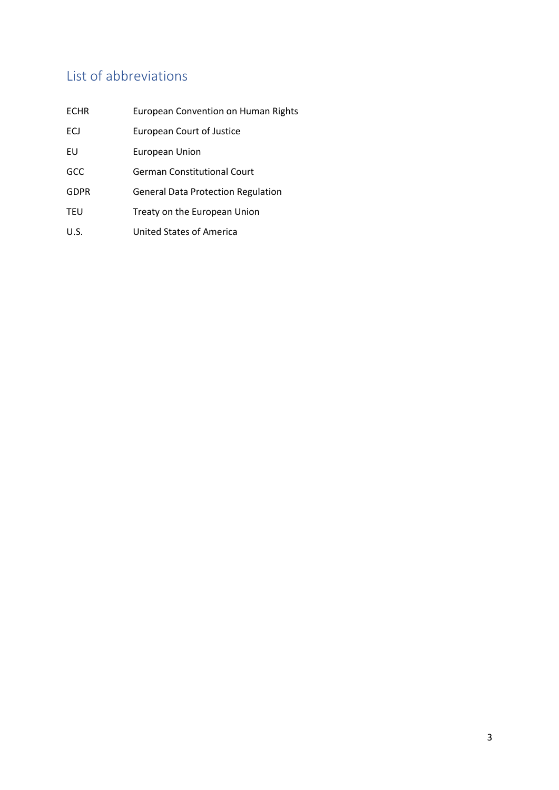# <span id="page-2-0"></span>List of abbreviations

| <b>ECHR</b> | <b>European Convention on Human Rights</b> |
|-------------|--------------------------------------------|
| ECJ         | <b>European Court of Justice</b>           |
| EU          | European Union                             |
| <b>GCC</b>  | <b>German Constitutional Court</b>         |
| <b>GDPR</b> | <b>General Data Protection Regulation</b>  |
| <b>TEU</b>  | Treaty on the European Union               |
| U.S.        | United States of America                   |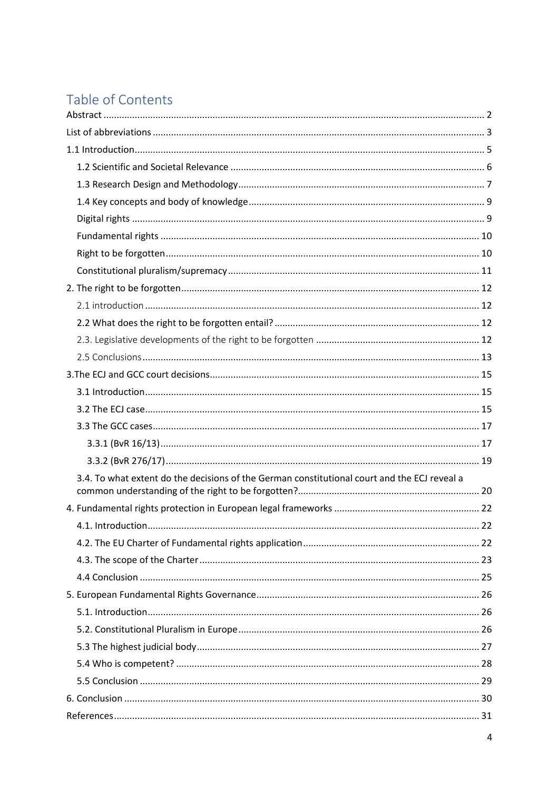# Table of Contents

| 3.4. To what extent do the decisions of the German constitutional court and the ECJ reveal a |  |
|----------------------------------------------------------------------------------------------|--|
|                                                                                              |  |
|                                                                                              |  |
|                                                                                              |  |
|                                                                                              |  |
|                                                                                              |  |
|                                                                                              |  |
|                                                                                              |  |
|                                                                                              |  |
|                                                                                              |  |
|                                                                                              |  |
|                                                                                              |  |
|                                                                                              |  |
|                                                                                              |  |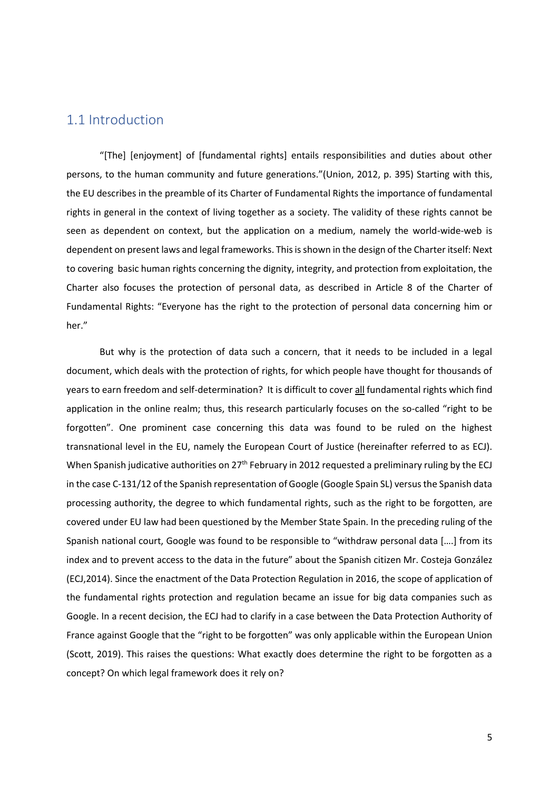# <span id="page-4-0"></span>1.1 Introduction

"[The] [enjoyment] of [fundamental rights] entails responsibilities and duties about other persons, to the human community and future generations."(Union, 2012, p. 395) Starting with this, the EU describes in the preamble of its Charter of Fundamental Rights the importance of fundamental rights in general in the context of living together as a society. The validity of these rights cannot be seen as dependent on context, but the application on a medium, namely the world-wide-web is dependent on present laws and legal frameworks. This is shown in the design of the Charter itself: Next to covering basic human rights concerning the dignity, integrity, and protection from exploitation, the Charter also focuses the protection of personal data, as described in Article 8 of the Charter of Fundamental Rights: "Everyone has the right to the protection of personal data concerning him or her."

But why is the protection of data such a concern, that it needs to be included in a legal document, which deals with the protection of rights, for which people have thought for thousands of years to earn freedom and self-determination? It is difficult to cover all fundamental rights which find application in the online realm; thus, this research particularly focuses on the so-called "right to be forgotten". One prominent case concerning this data was found to be ruled on the highest transnational level in the EU, namely the European Court of Justice (hereinafter referred to as ECJ). When Spanish judicative authorities on 27<sup>th</sup> February in 2012 requested a preliminary ruling by the ECJ in the case C-131/12 of the Spanish representation of Google (Google Spain SL) versusthe Spanish data processing authority, the degree to which fundamental rights, such as the right to be forgotten, are covered under EU law had been questioned by the Member State Spain. In the preceding ruling of the Spanish national court, Google was found to be responsible to "withdraw personal data [….] from its index and to prevent access to the data in the future" about the Spanish citizen Mr. Costeja González (ECJ,2014). Since the enactment of the Data Protection Regulation in 2016, the scope of application of the fundamental rights protection and regulation became an issue for big data companies such as Google. In a recent decision, the ECJ had to clarify in a case between the Data Protection Authority of France against Google that the "right to be forgotten" was only applicable within the European Union (Scott, 2019). This raises the questions: What exactly does determine the right to be forgotten as a concept? On which legal framework does it rely on?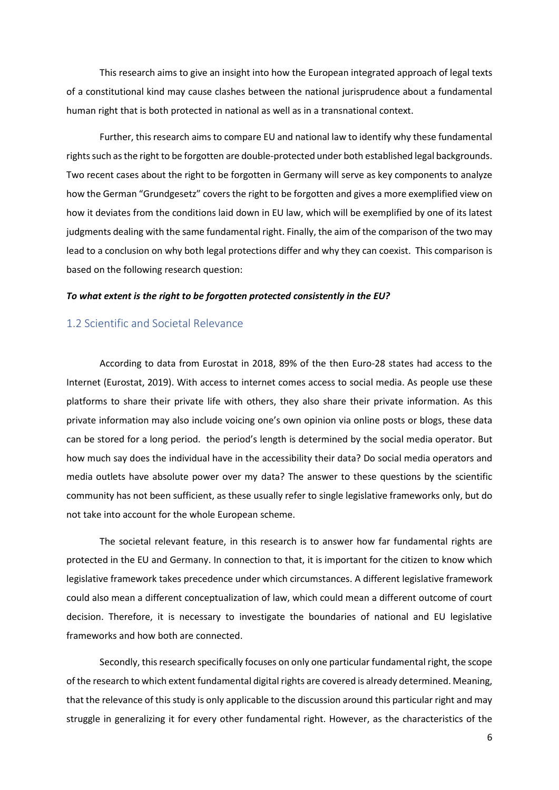This research aims to give an insight into how the European integrated approach of legal texts of a constitutional kind may cause clashes between the national jurisprudence about a fundamental human right that is both protected in national as well as in a transnational context.

Further, this research aims to compare EU and national law to identify why these fundamental rightssuch as the right to be forgotten are double-protected under both established legal backgrounds. Two recent cases about the right to be forgotten in Germany will serve as key components to analyze how the German "Grundgesetz" covers the right to be forgotten and gives a more exemplified view on how it deviates from the conditions laid down in EU law, which will be exemplified by one of its latest judgments dealing with the same fundamental right. Finally, the aim of the comparison of the two may lead to a conclusion on why both legal protections differ and why they can coexist. This comparison is based on the following research question:

#### *To what extent is the right to be forgotten protected consistently in the EU?*

#### <span id="page-5-0"></span>1.2 Scientific and Societal Relevance

According to data from Eurostat in 2018, 89% of the then Euro-28 states had access to the Internet (Eurostat, 2019). With access to internet comes access to social media. As people use these platforms to share their private life with others, they also share their private information. As this private information may also include voicing one's own opinion via online posts or blogs, these data can be stored for a long period. the period's length is determined by the social media operator. But how much say does the individual have in the accessibility their data? Do social media operators and media outlets have absolute power over my data? The answer to these questions by the scientific community has not been sufficient, as these usually refer to single legislative frameworks only, but do not take into account for the whole European scheme.

The societal relevant feature, in this research is to answer how far fundamental rights are protected in the EU and Germany. In connection to that, it is important for the citizen to know which legislative framework takes precedence under which circumstances. A different legislative framework could also mean a different conceptualization of law, which could mean a different outcome of court decision. Therefore, it is necessary to investigate the boundaries of national and EU legislative frameworks and how both are connected.

Secondly, this research specifically focuses on only one particular fundamental right, the scope of the research to which extent fundamental digital rights are covered is already determined. Meaning, that the relevance of this study is only applicable to the discussion around this particular right and may struggle in generalizing it for every other fundamental right. However, as the characteristics of the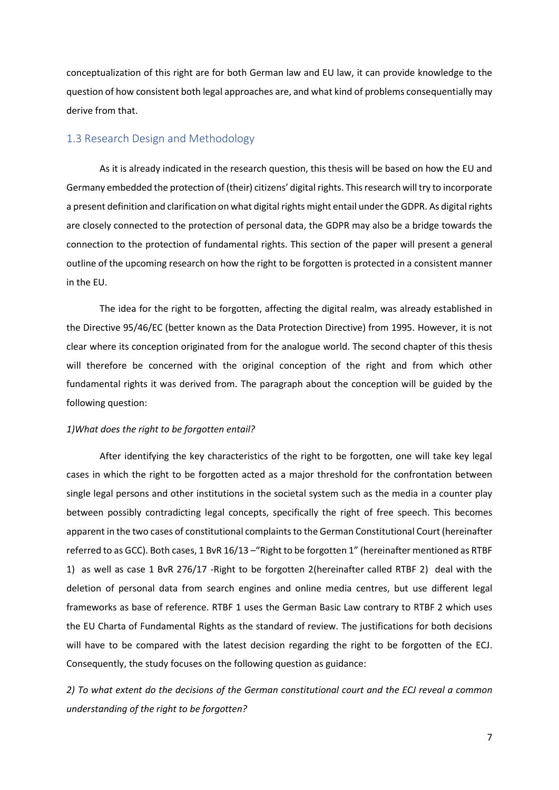conceptualization of this right are for both German law and EU law, it can provide knowledge to the question of how consistent both legal approaches are, and what kind of problems consequentially may derive from that.

#### <span id="page-6-0"></span>1.3 Research Design and Methodology

As it is already indicated in the research question, this thesis will be based on how the EU and Germany embedded the protection of (their) citizens' digital rights. This research will try to incorporate a present definition and clarification on what digital rights might entail under the GDPR. As digital rights are closely connected to the protection of personal data, the GDPR may also be a bridge towards the connection to the protection of fundamental rights. This section of the paper will present a general outline of the upcoming research on how the right to be forgotten is protected in a consistent manner in the EU.

The idea for the right to be forgotten, affecting the digital realm, was already established in the Directive 95/46/EC (better known as the Data Protection Directive) from 1995. However, it is not clear where its conception originated from for the analogue world. The second chapter of this thesis will therefore be concerned with the original conception of the right and from which other fundamental rights it was derived from. The paragraph about the conception will be guided by the following question:

#### *1)What does the right to be forgotten entail?*

After identifying the key characteristics of the right to be forgotten, one will take key legal cases in which the right to be forgotten acted as a major threshold for the confrontation between single legal persons and other institutions in the societal system such as the media in a counter play between possibly contradicting legal concepts, specifically the right of free speech. This becomes apparent in the two cases of constitutional complaints to the German Constitutional Court (hereinafter referred to as GCC). Both cases, 1 BvR 16/13 –"Right to be forgotten 1" (hereinafter mentioned as RTBF 1) as well as case 1 BvR 276/17 -Right to be forgotten 2(hereinafter called RTBF 2) deal with the deletion of personal data from search engines and online media centres, but use different legal frameworks as base of reference. RTBF 1 uses the German Basic Law contrary to RTBF 2 which uses the EU Charta of Fundamental Rights as the standard of review. The justifications for both decisions will have to be compared with the latest decision regarding the right to be forgotten of the ECJ. Consequently, the study focuses on the following question as guidance:

*2) To what extent do the decisions of the German constitutional court and the ECJ reveal a common understanding of the right to be forgotten?*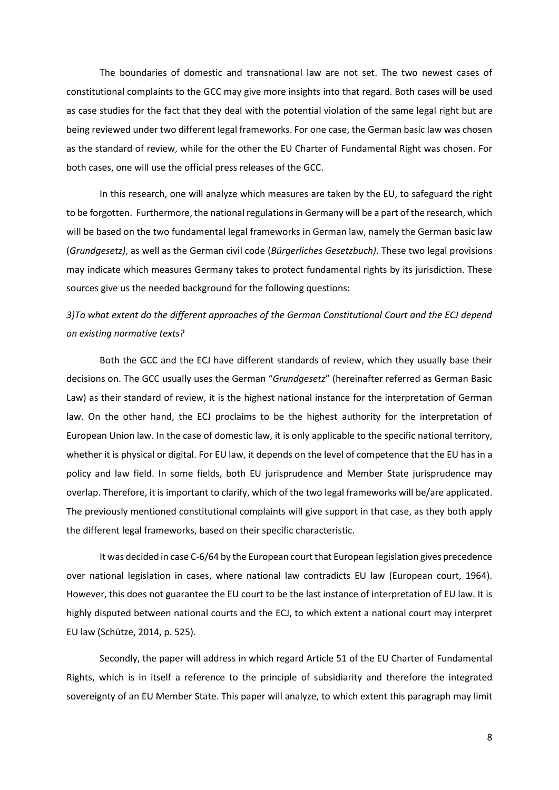The boundaries of domestic and transnational law are not set. The two newest cases of constitutional complaints to the GCC may give more insights into that regard. Both cases will be used as case studies for the fact that they deal with the potential violation of the same legal right but are being reviewed under two different legal frameworks. For one case, the German basic law was chosen as the standard of review, while for the other the EU Charter of Fundamental Right was chosen. For both cases, one will use the official press releases of the GCC.

In this research, one will analyze which measures are taken by the EU, to safeguard the right to be forgotten. Furthermore, the national regulations in Germany will be a part of the research, which will be based on the two fundamental legal frameworks in German law, namely the German basic law (*Grundgesetz)*, as well as the German civil code (*Bürgerliches Gesetzbuch)*. These two legal provisions may indicate which measures Germany takes to protect fundamental rights by its jurisdiction. These sources give us the needed background for the following questions:

# *3)To what extent do the different approaches of the German Constitutional Court and the ECJ depend on existing normative texts?*

Both the GCC and the ECJ have different standards of review, which they usually base their decisions on. The GCC usually uses the German "*Grundgesetz*" (hereinafter referred as German Basic Law) as their standard of review, it is the highest national instance for the interpretation of German law. On the other hand, the ECJ proclaims to be the highest authority for the interpretation of European Union law. In the case of domestic law, it is only applicable to the specific national territory, whether it is physical or digital. For EU law, it depends on the level of competence that the EU has in a policy and law field. In some fields, both EU jurisprudence and Member State jurisprudence may overlap. Therefore, it is important to clarify, which of the two legal frameworks will be/are applicated. The previously mentioned constitutional complaints will give support in that case, as they both apply the different legal frameworks, based on their specific characteristic.

It was decided in case C-6/64 by the European court that European legislation gives precedence over national legislation in cases, where national law contradicts EU law (European court, 1964). However, this does not guarantee the EU court to be the last instance of interpretation of EU law. It is highly disputed between national courts and the ECJ, to which extent a national court may interpret EU law (Schütze, 2014, p. 525).

Secondly, the paper will address in which regard Article 51 of the EU Charter of Fundamental Rights, which is in itself a reference to the principle of subsidiarity and therefore the integrated sovereignty of an EU Member State. This paper will analyze, to which extent this paragraph may limit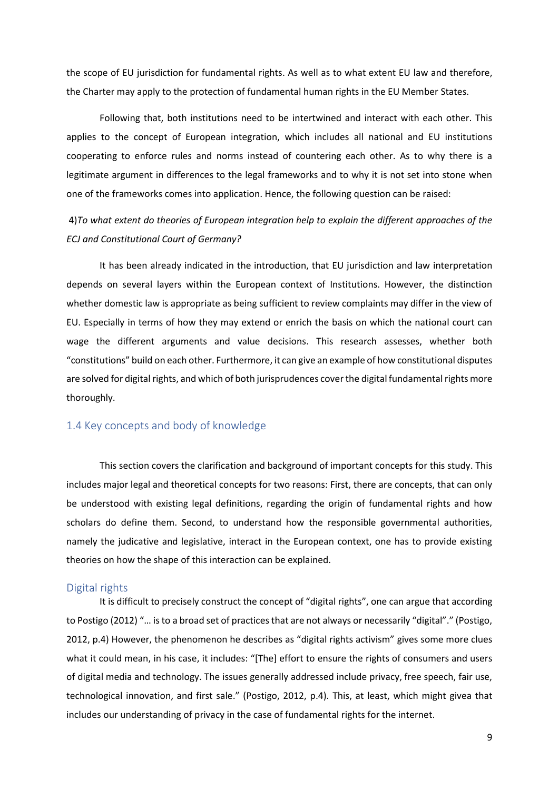the scope of EU jurisdiction for fundamental rights. As well as to what extent EU law and therefore, the Charter may apply to the protection of fundamental human rights in the EU Member States.

Following that, both institutions need to be intertwined and interact with each other. This applies to the concept of European integration, which includes all national and EU institutions cooperating to enforce rules and norms instead of countering each other. As to why there is a legitimate argument in differences to the legal frameworks and to why it is not set into stone when one of the frameworks comes into application. Hence, the following question can be raised:

4)*To what extent do theories of European integration help to explain the different approaches of the ECJ and Constitutional Court of Germany?*

It has been already indicated in the introduction, that EU jurisdiction and law interpretation depends on several layers within the European context of Institutions. However, the distinction whether domestic law is appropriate as being sufficient to review complaints may differ in the view of EU. Especially in terms of how they may extend or enrich the basis on which the national court can wage the different arguments and value decisions. This research assesses, whether both "constitutions" build on each other. Furthermore, it can give an example of how constitutional disputes are solved for digital rights, and which of both jurisprudences coverthe digital fundamental rights more thoroughly.

#### <span id="page-8-0"></span>1.4 Key concepts and body of knowledge

This section covers the clarification and background of important concepts for this study. This includes major legal and theoretical concepts for two reasons: First, there are concepts, that can only be understood with existing legal definitions, regarding the origin of fundamental rights and how scholars do define them. Second, to understand how the responsible governmental authorities, namely the judicative and legislative, interact in the European context, one has to provide existing theories on how the shape of this interaction can be explained.

#### <span id="page-8-1"></span>Digital rights

It is difficult to precisely construct the concept of "digital rights", one can argue that according to Postigo (2012) "… is to a broad set of practices that are not always or necessarily "digital"." (Postigo, 2012, p.4) However, the phenomenon he describes as "digital rights activism" gives some more clues what it could mean, in his case, it includes: "[The] effort to ensure the rights of consumers and users of digital media and technology. The issues generally addressed include privacy, free speech, fair use, technological innovation, and first sale." (Postigo, 2012, p.4). This, at least, which might givea that includes our understanding of privacy in the case of fundamental rights for the internet.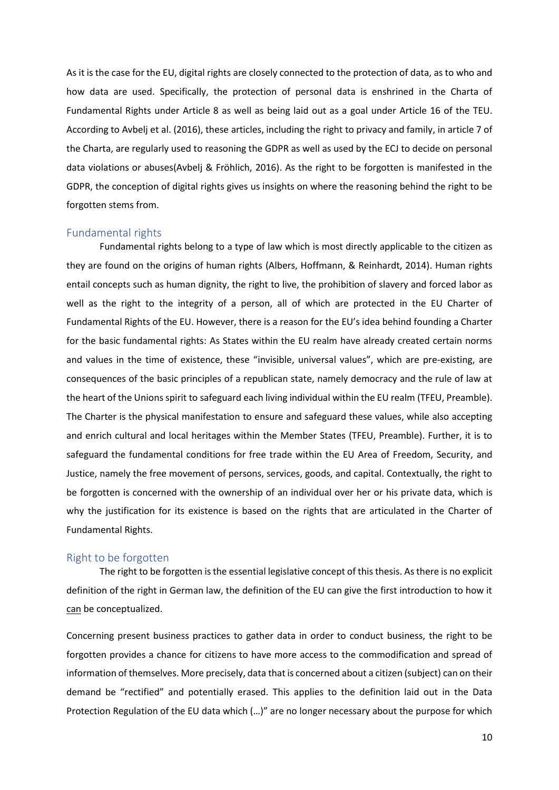As it is the case for the EU, digital rights are closely connected to the protection of data, as to who and how data are used. Specifically, the protection of personal data is enshrined in the Charta of Fundamental Rights under Article 8 as well as being laid out as a goal under Article 16 of the TEU. According to Avbelj et al. (2016), these articles, including the right to privacy and family, in article 7 of the Charta, are regularly used to reasoning the GDPR as well as used by the ECJ to decide on personal data violations or abuses(Avbelj & Fröhlich, 2016). As the right to be forgotten is manifested in the GDPR, the conception of digital rights gives us insights on where the reasoning behind the right to be forgotten stems from.

#### <span id="page-9-0"></span>Fundamental rights

Fundamental rights belong to a type of law which is most directly applicable to the citizen as they are found on the origins of human rights (Albers, Hoffmann, & Reinhardt, 2014). Human rights entail concepts such as human dignity, the right to live, the prohibition of slavery and forced labor as well as the right to the integrity of a person, all of which are protected in the EU Charter of Fundamental Rights of the EU. However, there is a reason for the EU's idea behind founding a Charter for the basic fundamental rights: As States within the EU realm have already created certain norms and values in the time of existence, these "invisible, universal values", which are pre-existing, are consequences of the basic principles of a republican state, namely democracy and the rule of law at the heart of the Unions spirit to safeguard each living individual within the EU realm (TFEU, Preamble). The Charter is the physical manifestation to ensure and safeguard these values, while also accepting and enrich cultural and local heritages within the Member States (TFEU, Preamble). Further, it is to safeguard the fundamental conditions for free trade within the EU Area of Freedom, Security, and Justice, namely the free movement of persons, services, goods, and capital. Contextually, the right to be forgotten is concerned with the ownership of an individual over her or his private data, which is why the justification for its existence is based on the rights that are articulated in the Charter of Fundamental Rights.

#### <span id="page-9-1"></span>Right to be forgotten

The right to be forgotten is the essential legislative concept of this thesis. As there is no explicit definition of the right in German law, the definition of the EU can give the first introduction to how it can be conceptualized.

Concerning present business practices to gather data in order to conduct business, the right to be forgotten provides a chance for citizens to have more access to the commodification and spread of information of themselves. More precisely, data that is concerned about a citizen (subject) can on their demand be "rectified" and potentially erased. This applies to the definition laid out in the Data Protection Regulation of the EU data which (…)" are no longer necessary about the purpose for which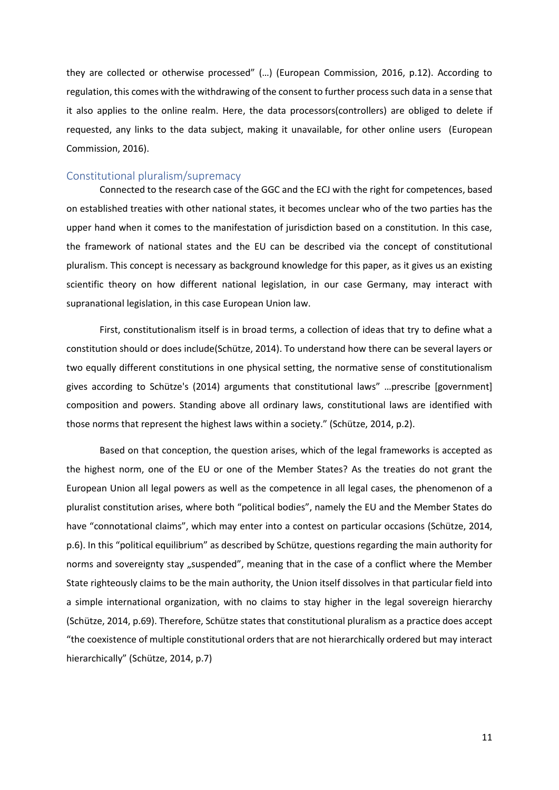they are collected or otherwise processed" (…) (European Commission, 2016, p.12). According to regulation, this comes with the withdrawing of the consent to further process such data in a sense that it also applies to the online realm. Here, the data processors(controllers) are obliged to delete if requested, any links to the data subject, making it unavailable, for other online users (European Commission, 2016).

#### <span id="page-10-0"></span>Constitutional pluralism/supremacy

Connected to the research case of the GGC and the ECJ with the right for competences, based on established treaties with other national states, it becomes unclear who of the two parties has the upper hand when it comes to the manifestation of jurisdiction based on a constitution. In this case, the framework of national states and the EU can be described via the concept of constitutional pluralism. This concept is necessary as background knowledge for this paper, as it gives us an existing scientific theory on how different national legislation, in our case Germany, may interact with supranational legislation, in this case European Union law.

First, constitutionalism itself is in broad terms, a collection of ideas that try to define what a constitution should or does include(Schütze, 2014). To understand how there can be several layers or two equally different constitutions in one physical setting, the normative sense of constitutionalism gives according to Schütze's (2014) arguments that constitutional laws" …prescribe [government] composition and powers. Standing above all ordinary laws, constitutional laws are identified with those norms that represent the highest laws within a society." (Schütze, 2014, p.2).

Based on that conception, the question arises, which of the legal frameworks is accepted as the highest norm, one of the EU or one of the Member States? As the treaties do not grant the European Union all legal powers as well as the competence in all legal cases, the phenomenon of a pluralist constitution arises, where both "political bodies", namely the EU and the Member States do have "connotational claims", which may enter into a contest on particular occasions (Schütze, 2014, p.6). In this "political equilibrium" as described by Schütze, questions regarding the main authority for norms and sovereignty stay "suspended", meaning that in the case of a conflict where the Member State righteously claims to be the main authority, the Union itself dissolves in that particular field into a simple international organization, with no claims to stay higher in the legal sovereign hierarchy (Schütze, 2014, p.69). Therefore, Schütze states that constitutional pluralism as a practice does accept "the coexistence of multiple constitutional orders that are not hierarchically ordered but may interact hierarchically" (Schütze, 2014, p.7)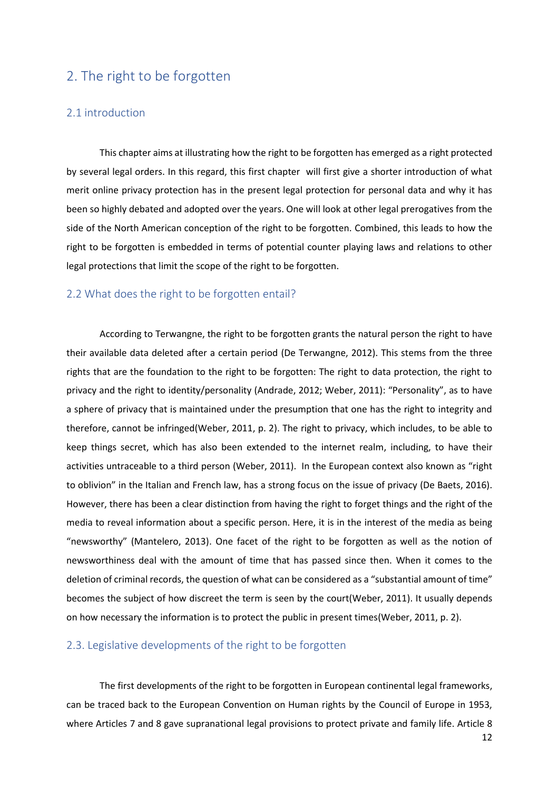# <span id="page-11-0"></span>2. The right to be forgotten

#### <span id="page-11-1"></span>2.1 introduction

This chapter aims at illustrating how the right to be forgotten has emerged as a right protected by several legal orders. In this regard, this first chapter will first give a shorter introduction of what merit online privacy protection has in the present legal protection for personal data and why it has been so highly debated and adopted over the years. One will look at other legal prerogatives from the side of the North American conception of the right to be forgotten. Combined, this leads to how the right to be forgotten is embedded in terms of potential counter playing laws and relations to other legal protections that limit the scope of the right to be forgotten.

#### <span id="page-11-2"></span>2.2 What does the right to be forgotten entail?

According to Terwangne, the right to be forgotten grants the natural person the right to have their available data deleted after a certain period (De Terwangne, 2012). This stems from the three rights that are the foundation to the right to be forgotten: The right to data protection, the right to privacy and the right to identity/personality (Andrade, 2012; Weber, 2011): "Personality", as to have a sphere of privacy that is maintained under the presumption that one has the right to integrity and therefore, cannot be infringed(Weber, 2011, p. 2). The right to privacy, which includes, to be able to keep things secret, which has also been extended to the internet realm, including, to have their activities untraceable to a third person (Weber, 2011). In the European context also known as "right to oblivion" in the Italian and French law, has a strong focus on the issue of privacy (De Baets, 2016). However, there has been a clear distinction from having the right to forget things and the right of the media to reveal information about a specific person. Here, it is in the interest of the media as being "newsworthy" (Mantelero, 2013). One facet of the right to be forgotten as well as the notion of newsworthiness deal with the amount of time that has passed since then. When it comes to the deletion of criminal records, the question of what can be considered as a "substantial amount of time" becomes the subject of how discreet the term is seen by the court(Weber, 2011). It usually depends on how necessary the information is to protect the public in present times(Weber, 2011, p. 2).

#### <span id="page-11-3"></span>2.3. Legislative developments of the right to be forgotten

The first developments of the right to be forgotten in European continental legal frameworks, can be traced back to the European Convention on Human rights by the Council of Europe in 1953, where Articles 7 and 8 gave supranational legal provisions to protect private and family life. Article 8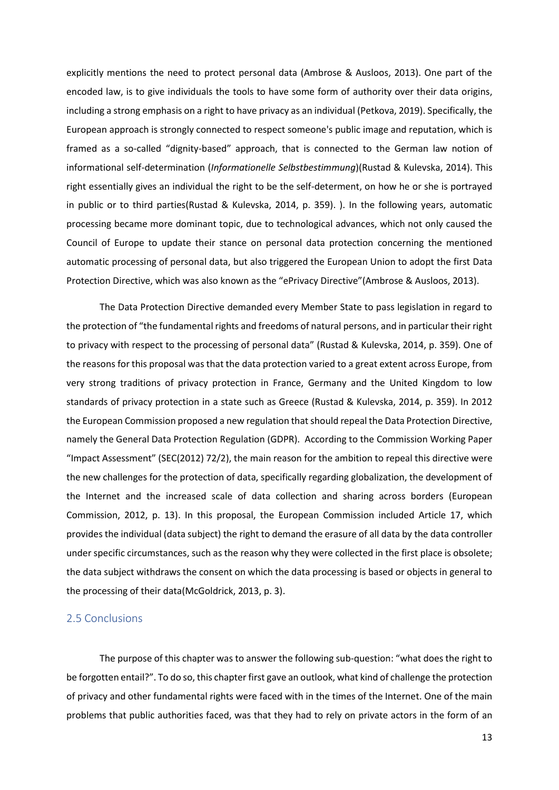explicitly mentions the need to protect personal data (Ambrose & Ausloos, 2013). One part of the encoded law, is to give individuals the tools to have some form of authority over their data origins, including a strong emphasis on a right to have privacy as an individual (Petkova, 2019). Specifically, the European approach is strongly connected to respect someone's public image and reputation, which is framed as a so-called "dignity-based" approach, that is connected to the German law notion of informational self-determination (*Informationelle Selbstbestimmung*)(Rustad & Kulevska, 2014). This right essentially gives an individual the right to be the self-determent, on how he or she is portrayed in public or to third parties(Rustad & Kulevska, 2014, p. 359). ). In the following years, automatic processing became more dominant topic, due to technological advances, which not only caused the Council of Europe to update their stance on personal data protection concerning the mentioned automatic processing of personal data, but also triggered the European Union to adopt the first Data Protection Directive, which was also known as the "ePrivacy Directive"(Ambrose & Ausloos, 2013).

The Data Protection Directive demanded every Member State to pass legislation in regard to the protection of "the fundamental rights and freedoms of natural persons, and in particular their right to privacy with respect to the processing of personal data" (Rustad & Kulevska, 2014, p. 359). One of the reasons for this proposal was that the data protection varied to a great extent across Europe, from very strong traditions of privacy protection in France, Germany and the United Kingdom to low standards of privacy protection in a state such as Greece (Rustad & Kulevska, 2014, p. 359). In 2012 the European Commission proposed a new regulation that should repeal the Data Protection Directive, namely the General Data Protection Regulation (GDPR). According to the Commission Working Paper "Impact Assessment" (SEC(2012) 72/2), the main reason for the ambition to repeal this directive were the new challenges for the protection of data, specifically regarding globalization, the development of the Internet and the increased scale of data collection and sharing across borders (European Commission, 2012, p. 13). In this proposal, the European Commission included Article 17, which provides the individual (data subject) the right to demand the erasure of all data by the data controller under specific circumstances, such as the reason why they were collected in the first place is obsolete; the data subject withdraws the consent on which the data processing is based or objects in general to the processing of their data(McGoldrick, 2013, p. 3).

#### <span id="page-12-0"></span>2.5 Conclusions

The purpose of this chapter was to answer the following sub-question: "what does the right to be forgotten entail?". To do so, this chapter first gave an outlook, what kind of challenge the protection of privacy and other fundamental rights were faced with in the times of the Internet. One of the main problems that public authorities faced, was that they had to rely on private actors in the form of an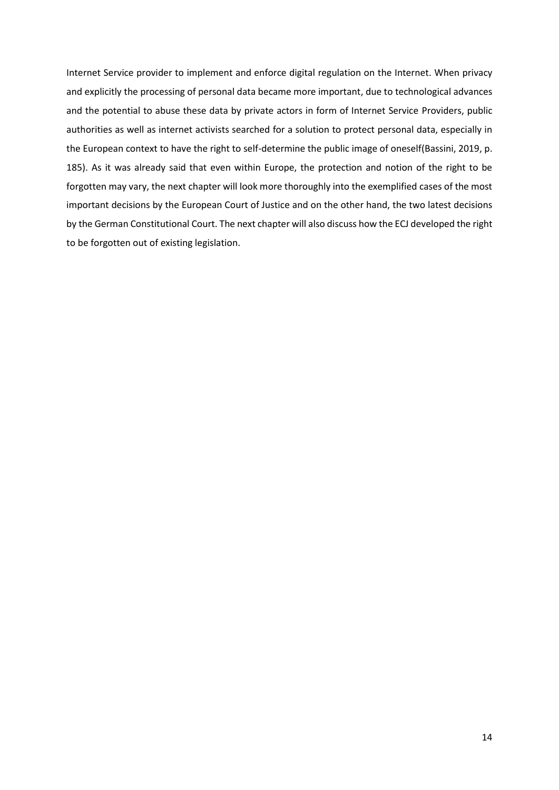Internet Service provider to implement and enforce digital regulation on the Internet. When privacy and explicitly the processing of personal data became more important, due to technological advances and the potential to abuse these data by private actors in form of Internet Service Providers, public authorities as well as internet activists searched for a solution to protect personal data, especially in the European context to have the right to self-determine the public image of oneself(Bassini, 2019, p. 185). As it was already said that even within Europe, the protection and notion of the right to be forgotten may vary, the next chapter will look more thoroughly into the exemplified cases of the most important decisions by the European Court of Justice and on the other hand, the two latest decisions by the German Constitutional Court. The next chapter will also discuss how the ECJ developed the right to be forgotten out of existing legislation.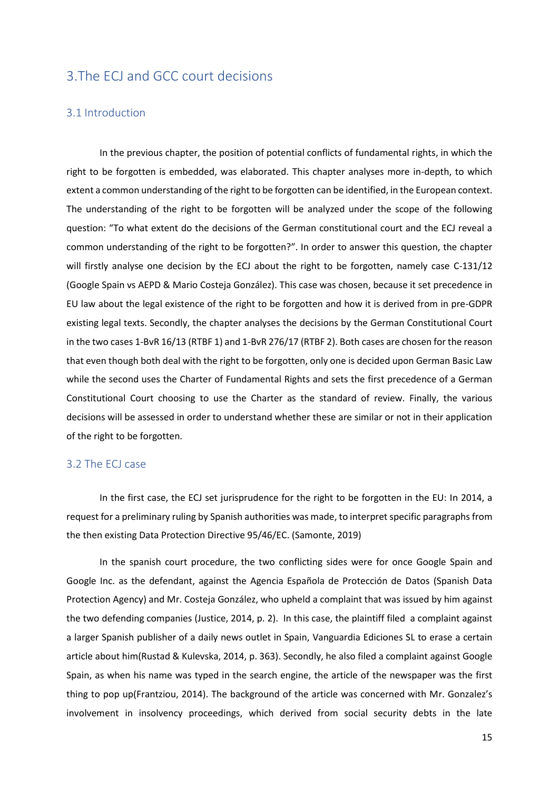# <span id="page-14-0"></span>3.The ECJ and GCC court decisions

#### <span id="page-14-1"></span>3.1 Introduction

In the previous chapter, the position of potential conflicts of fundamental rights, in which the right to be forgotten is embedded, was elaborated. This chapter analyses more in-depth, to which extent a common understanding of the right to be forgotten can be identified, in the European context. The understanding of the right to be forgotten will be analyzed under the scope of the following question: "To what extent do the decisions of the German constitutional court and the ECJ reveal a common understanding of the right to be forgotten?". In order to answer this question, the chapter will firstly analyse one decision by the ECJ about the right to be forgotten, namely case C-131/12 (Google Spain vs AEPD & Mario Costeja González). This case was chosen, because it set precedence in EU law about the legal existence of the right to be forgotten and how it is derived from in pre-GDPR existing legal texts. Secondly, the chapter analyses the decisions by the German Constitutional Court in the two cases 1-BvR 16/13 (RTBF 1) and 1-BvR 276/17 (RTBF 2). Both cases are chosen for the reason that even though both deal with the right to be forgotten, only one is decided upon German Basic Law while the second uses the Charter of Fundamental Rights and sets the first precedence of a German Constitutional Court choosing to use the Charter as the standard of review. Finally, the various decisions will be assessed in order to understand whether these are similar or not in their application of the right to be forgotten.

#### <span id="page-14-2"></span>3.2 The ECJ case

In the first case, the ECJ set jurisprudence for the right to be forgotten in the EU: In 2014, a request for a preliminary ruling by Spanish authorities was made, to interpret specific paragraphs from the then existing Data Protection Directive 95/46/EC. (Samonte, 2019)

In the spanish court procedure, the two conflicting sides were for once Google Spain and Google Inc. as the defendant, against the Agencia Española de Protección de Datos (Spanish Data Protection Agency) and Mr. Costeja González, who upheld a complaint that was issued by him against the two defending companies (Justice, 2014, p. 2). In this case, the plaintiff filed a complaint against a larger Spanish publisher of a daily news outlet in Spain, Vanguardia Ediciones SL to erase a certain article about him(Rustad & Kulevska, 2014, p. 363). Secondly, he also filed a complaint against Google Spain, as when his name was typed in the search engine, the article of the newspaper was the first thing to pop up(Frantziou, 2014). The background of the article was concerned with Mr. Gonzalez's involvement in insolvency proceedings, which derived from social security debts in the late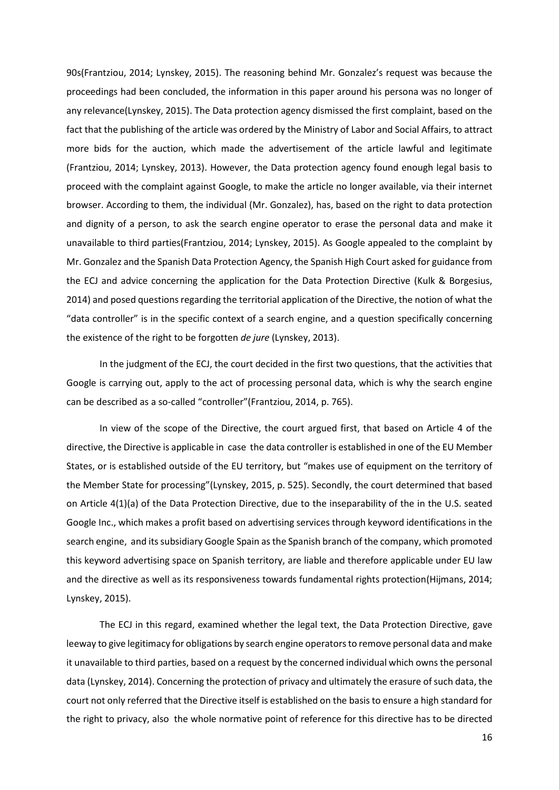90s(Frantziou, 2014; Lynskey, 2015). The reasoning behind Mr. Gonzalez's request was because the proceedings had been concluded, the information in this paper around his persona was no longer of any relevance(Lynskey, 2015). The Data protection agency dismissed the first complaint, based on the fact that the publishing of the article was ordered by the Ministry of Labor and Social Affairs, to attract more bids for the auction, which made the advertisement of the article lawful and legitimate (Frantziou, 2014; Lynskey, 2013). However, the Data protection agency found enough legal basis to proceed with the complaint against Google, to make the article no longer available, via their internet browser. According to them, the individual (Mr. Gonzalez), has, based on the right to data protection and dignity of a person, to ask the search engine operator to erase the personal data and make it unavailable to third parties(Frantziou, 2014; Lynskey, 2015). As Google appealed to the complaint by Mr. Gonzalez and the Spanish Data Protection Agency, the Spanish High Court asked for guidance from the ECJ and advice concerning the application for the Data Protection Directive (Kulk & Borgesius, 2014) and posed questions regarding the territorial application of the Directive, the notion of what the "data controller" is in the specific context of a search engine, and a question specifically concerning the existence of the right to be forgotten *de jure* (Lynskey, 2013).

In the judgment of the ECJ, the court decided in the first two questions, that the activities that Google is carrying out, apply to the act of processing personal data, which is why the search engine can be described as a so-called "controller"(Frantziou, 2014, p. 765).

In view of the scope of the Directive, the court argued first, that based on Article 4 of the directive, the Directive is applicable in case the data controller is established in one of the EU Member States, or is established outside of the EU territory, but "makes use of equipment on the territory of the Member State for processing"(Lynskey, 2015, p. 525). Secondly, the court determined that based on Article 4(1)(a) of the Data Protection Directive, due to the inseparability of the in the U.S. seated Google Inc., which makes a profit based on advertising services through keyword identifications in the search engine, and its subsidiary Google Spain as the Spanish branch of the company, which promoted this keyword advertising space on Spanish territory, are liable and therefore applicable under EU law and the directive as well as its responsiveness towards fundamental rights protection(Hijmans, 2014; Lynskey, 2015).

The ECJ in this regard, examined whether the legal text, the Data Protection Directive, gave leeway to give legitimacy for obligations by search engine operators to remove personal data and make it unavailable to third parties, based on a request by the concerned individual which owns the personal data (Lynskey, 2014). Concerning the protection of privacy and ultimately the erasure of such data, the court not only referred that the Directive itself is established on the basis to ensure a high standard for the right to privacy, also the whole normative point of reference for this directive has to be directed

16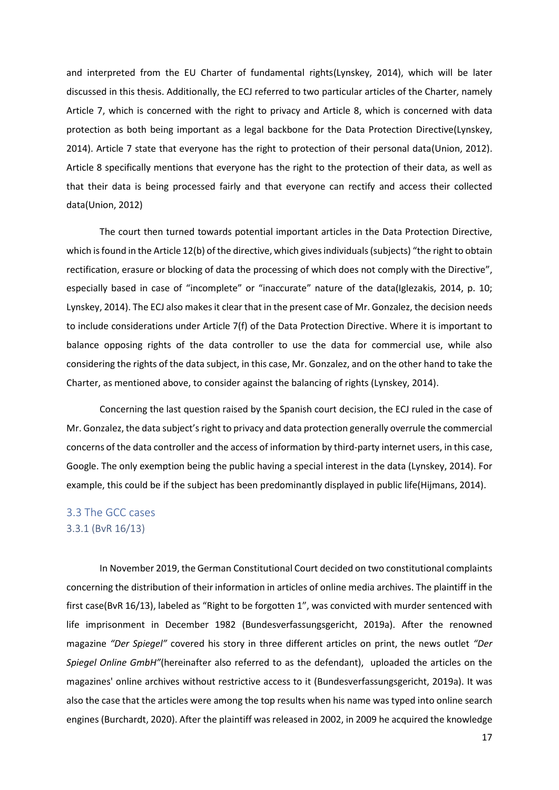and interpreted from the EU Charter of fundamental rights(Lynskey, 2014), which will be later discussed in this thesis. Additionally, the ECJ referred to two particular articles of the Charter, namely Article 7, which is concerned with the right to privacy and Article 8, which is concerned with data protection as both being important as a legal backbone for the Data Protection Directive(Lynskey, 2014). Article 7 state that everyone has the right to protection of their personal data(Union, 2012). Article 8 specifically mentions that everyone has the right to the protection of their data, as well as that their data is being processed fairly and that everyone can rectify and access their collected data(Union, 2012)

The court then turned towards potential important articles in the Data Protection Directive, which is found in the Article 12(b) of the directive, which gives individuals (subjects) "the right to obtain rectification, erasure or blocking of data the processing of which does not comply with the Directive", especially based in case of "incomplete" or "inaccurate" nature of the data(Iglezakis, 2014, p. 10; Lynskey, 2014). The ECJ also makes it clear that in the present case of Mr. Gonzalez, the decision needs to include considerations under Article 7(f) of the Data Protection Directive. Where it is important to balance opposing rights of the data controller to use the data for commercial use, while also considering the rights of the data subject, in this case, Mr. Gonzalez, and on the other hand to take the Charter, as mentioned above, to consider against the balancing of rights (Lynskey, 2014).

Concerning the last question raised by the Spanish court decision, the ECJ ruled in the case of Mr. Gonzalez, the data subject's right to privacy and data protection generally overrule the commercial concerns of the data controller and the access of information by third-party internet users, in this case, Google. The only exemption being the public having a special interest in the data (Lynskey, 2014). For example, this could be if the subject has been predominantly displayed in public life(Hijmans, 2014).

### <span id="page-16-1"></span><span id="page-16-0"></span>3.3 The GCC cases 3.3.1 (BvR 16/13)

In November 2019, the German Constitutional Court decided on two constitutional complaints concerning the distribution of their information in articles of online media archives. The plaintiff in the first case(BvR 16/13), labeled as "Right to be forgotten 1", was convicted with murder sentenced with life imprisonment in December 1982 (Bundesverfassungsgericht, 2019a). After the renowned magazine *"Der Spiegel"* covered his story in three different articles on print, the news outlet *"Der Spiegel Online GmbH"*(hereinafter also referred to as the defendant), uploaded the articles on the magazines' online archives without restrictive access to it (Bundesverfassungsgericht, 2019a). It was also the case that the articles were among the top results when his name was typed into online search engines (Burchardt, 2020). After the plaintiff was released in 2002, in 2009 he acquired the knowledge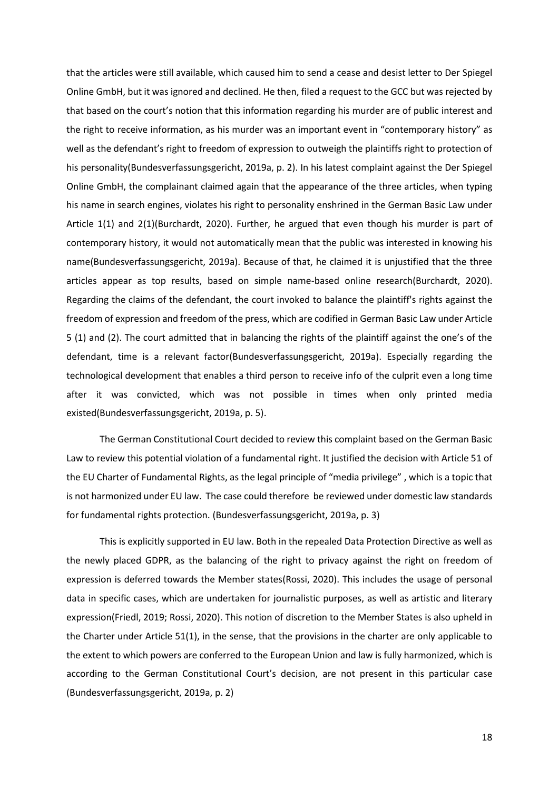that the articles were still available, which caused him to send a cease and desist letter to Der Spiegel Online GmbH, but it was ignored and declined. He then, filed a request to the GCC but was rejected by that based on the court's notion that this information regarding his murder are of public interest and the right to receive information, as his murder was an important event in "contemporary history" as well as the defendant's right to freedom of expression to outweigh the plaintiffs right to protection of his personality(Bundesverfassungsgericht, 2019a, p. 2). In his latest complaint against the Der Spiegel Online GmbH, the complainant claimed again that the appearance of the three articles, when typing his name in search engines, violates his right to personality enshrined in the German Basic Law under Article 1(1) and 2(1)(Burchardt, 2020). Further, he argued that even though his murder is part of contemporary history, it would not automatically mean that the public was interested in knowing his name(Bundesverfassungsgericht, 2019a). Because of that, he claimed it is unjustified that the three articles appear as top results, based on simple name-based online research(Burchardt, 2020). Regarding the claims of the defendant, the court invoked to balance the plaintiff's rights against the freedom of expression and freedom of the press, which are codified in German Basic Law under Article 5 (1) and (2). The court admitted that in balancing the rights of the plaintiff against the one's of the defendant, time is a relevant factor(Bundesverfassungsgericht, 2019a). Especially regarding the technological development that enables a third person to receive info of the culprit even a long time after it was convicted, which was not possible in times when only printed media existed(Bundesverfassungsgericht, 2019a, p. 5).

The German Constitutional Court decided to review this complaint based on the German Basic Law to review this potential violation of a fundamental right. It justified the decision with Article 51 of the EU Charter of Fundamental Rights, as the legal principle of "media privilege" , which is a topic that is not harmonized under EU law. The case could therefore be reviewed under domestic law standards for fundamental rights protection. (Bundesverfassungsgericht, 2019a, p. 3)

This is explicitly supported in EU law. Both in the repealed Data Protection Directive as well as the newly placed GDPR, as the balancing of the right to privacy against the right on freedom of expression is deferred towards the Member states(Rossi, 2020). This includes the usage of personal data in specific cases, which are undertaken for journalistic purposes, as well as artistic and literary expression(Friedl, 2019; Rossi, 2020). This notion of discretion to the Member States is also upheld in the Charter under Article 51(1), in the sense, that the provisions in the charter are only applicable to the extent to which powers are conferred to the European Union and law is fully harmonized, which is according to the German Constitutional Court's decision, are not present in this particular case (Bundesverfassungsgericht, 2019a, p. 2)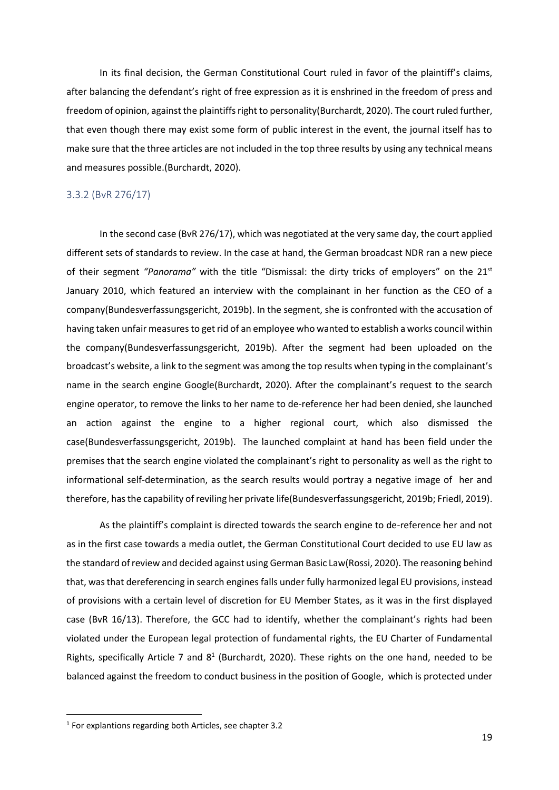In its final decision, the German Constitutional Court ruled in favor of the plaintiff's claims, after balancing the defendant's right of free expression as it is enshrined in the freedom of press and freedom of opinion, against the plaintiffs right to personality(Burchardt, 2020). The court ruled further, that even though there may exist some form of public interest in the event, the journal itself has to make sure that the three articles are not included in the top three results by using any technical means and measures possible.(Burchardt, 2020).

#### <span id="page-18-0"></span>3.3.2 (BvR 276/17)

In the second case (BvR 276/17), which was negotiated at the very same day, the court applied different sets of standards to review. In the case at hand, the German broadcast NDR ran a new piece of their segment *"Panorama"* with the title "Dismissal: the dirty tricks of employers" on the 21st January 2010, which featured an interview with the complainant in her function as the CEO of a company(Bundesverfassungsgericht, 2019b). In the segment, she is confronted with the accusation of having taken unfair measures to get rid of an employee who wanted to establish a works council within the company(Bundesverfassungsgericht, 2019b). After the segment had been uploaded on the broadcast's website, a link to the segment was among the top results when typing in the complainant's name in the search engine Google(Burchardt, 2020). After the complainant's request to the search engine operator, to remove the links to her name to de-reference her had been denied, she launched an action against the engine to a higher regional court, which also dismissed the case(Bundesverfassungsgericht, 2019b). The launched complaint at hand has been field under the premises that the search engine violated the complainant's right to personality as well as the right to informational self-determination, as the search results would portray a negative image of her and therefore, has the capability of reviling her private life(Bundesverfassungsgericht, 2019b; Friedl, 2019).

As the plaintiff's complaint is directed towards the search engine to de-reference her and not as in the first case towards a media outlet, the German Constitutional Court decided to use EU law as the standard of review and decided against using German Basic Law(Rossi, 2020). The reasoning behind that, was that dereferencing in search engines falls under fully harmonized legal EU provisions, instead of provisions with a certain level of discretion for EU Member States, as it was in the first displayed case (BvR 16/13). Therefore, the GCC had to identify, whether the complainant's rights had been violated under the European legal protection of fundamental rights, the EU Charter of Fundamental Rights, specifically Article 7 and  $8<sup>1</sup>$  (Burchardt, 2020). These rights on the one hand, needed to be balanced against the freedom to conduct business in the position of Google, which is protected under

<sup>1</sup> For explantions regarding both Articles, see chapter 3.2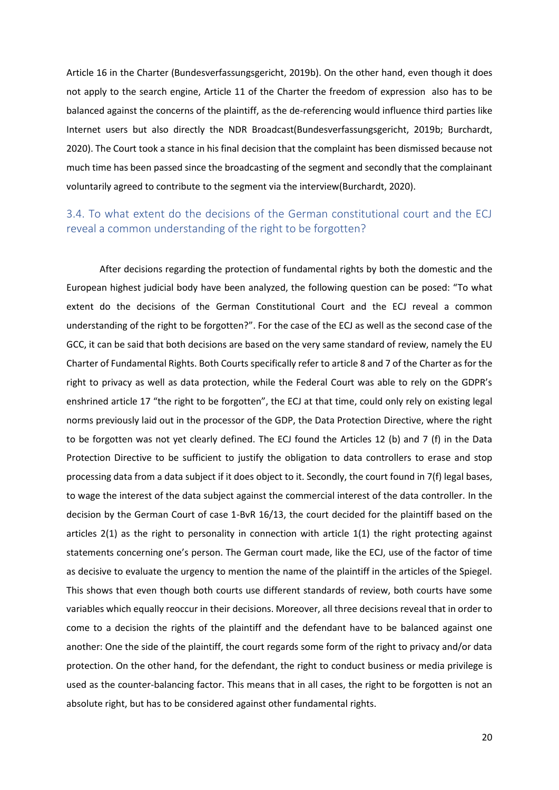Article 16 in the Charter (Bundesverfassungsgericht, 2019b). On the other hand, even though it does not apply to the search engine, Article 11 of the Charter the freedom of expression also has to be balanced against the concerns of the plaintiff, as the de-referencing would influence third parties like Internet users but also directly the NDR Broadcast(Bundesverfassungsgericht, 2019b; Burchardt, 2020). The Court took a stance in his final decision that the complaint has been dismissed because not much time has been passed since the broadcasting of the segment and secondly that the complainant voluntarily agreed to contribute to the segment via the interview(Burchardt, 2020).

## <span id="page-19-0"></span>3.4. To what extent do the decisions of the German constitutional court and the ECJ reveal a common understanding of the right to be forgotten?

After decisions regarding the protection of fundamental rights by both the domestic and the European highest judicial body have been analyzed, the following question can be posed: "To what extent do the decisions of the German Constitutional Court and the ECJ reveal a common understanding of the right to be forgotten?". For the case of the ECJ as well as the second case of the GCC, it can be said that both decisions are based on the very same standard of review, namely the EU Charter of Fundamental Rights. Both Courts specifically refer to article 8 and 7 of the Charter as for the right to privacy as well as data protection, while the Federal Court was able to rely on the GDPR's enshrined article 17 "the right to be forgotten", the ECJ at that time, could only rely on existing legal norms previously laid out in the processor of the GDP, the Data Protection Directive, where the right to be forgotten was not yet clearly defined. The ECJ found the Articles 12 (b) and 7 (f) in the Data Protection Directive to be sufficient to justify the obligation to data controllers to erase and stop processing data from a data subject if it does object to it. Secondly, the court found in 7(f) legal bases, to wage the interest of the data subject against the commercial interest of the data controller. In the decision by the German Court of case 1-BvR 16/13, the court decided for the plaintiff based on the articles 2(1) as the right to personality in connection with article 1(1) the right protecting against statements concerning one's person. The German court made, like the ECJ, use of the factor of time as decisive to evaluate the urgency to mention the name of the plaintiff in the articles of the Spiegel. This shows that even though both courts use different standards of review, both courts have some variables which equally reoccur in their decisions. Moreover, all three decisions reveal that in order to come to a decision the rights of the plaintiff and the defendant have to be balanced against one another: One the side of the plaintiff, the court regards some form of the right to privacy and/or data protection. On the other hand, for the defendant, the right to conduct business or media privilege is used as the counter-balancing factor. This means that in all cases, the right to be forgotten is not an absolute right, but has to be considered against other fundamental rights.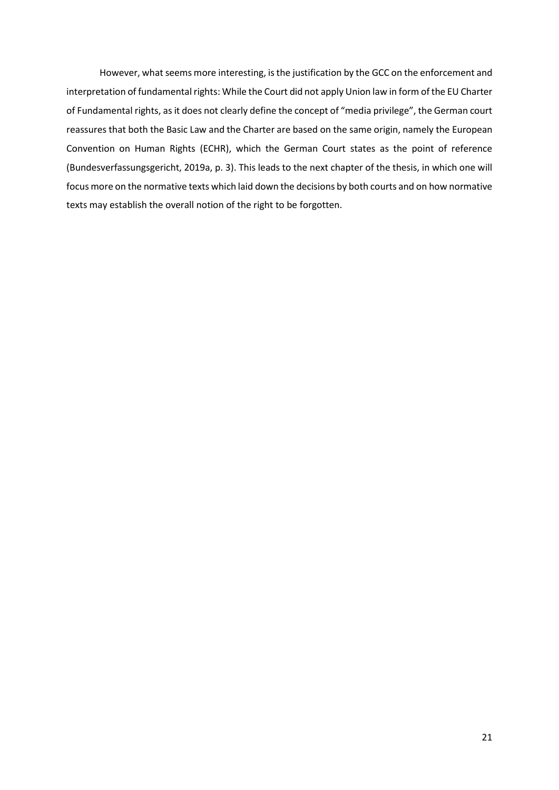However, what seems more interesting, is the justification by the GCC on the enforcement and interpretation of fundamental rights: While the Court did not apply Union law in form of the EU Charter of Fundamental rights, as it does not clearly define the concept of "media privilege", the German court reassures that both the Basic Law and the Charter are based on the same origin, namely the European Convention on Human Rights (ECHR), which the German Court states as the point of reference (Bundesverfassungsgericht, 2019a, p. 3). This leads to the next chapter of the thesis, in which one will focus more on the normative texts which laid down the decisions by both courts and on how normative texts may establish the overall notion of the right to be forgotten.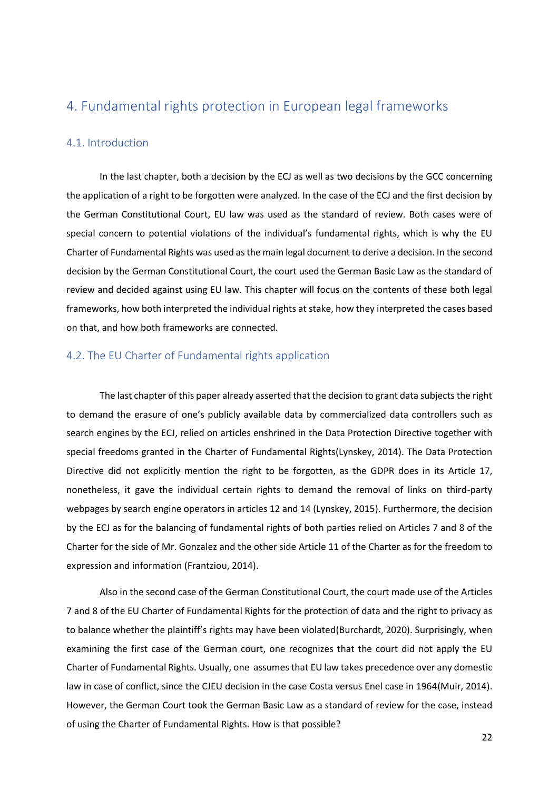# <span id="page-21-0"></span>4. Fundamental rights protection in European legal frameworks

#### <span id="page-21-1"></span>4.1. Introduction

In the last chapter, both a decision by the ECJ as well as two decisions by the GCC concerning the application of a right to be forgotten were analyzed. In the case of the ECJ and the first decision by the German Constitutional Court, EU law was used as the standard of review. Both cases were of special concern to potential violations of the individual's fundamental rights, which is why the EU Charter of Fundamental Rights was used as the main legal document to derive a decision. In the second decision by the German Constitutional Court, the court used the German Basic Law as the standard of review and decided against using EU law. This chapter will focus on the contents of these both legal frameworks, how both interpreted the individual rights at stake, how they interpreted the cases based on that, and how both frameworks are connected.

#### <span id="page-21-2"></span>4.2. The EU Charter of Fundamental rights application

The last chapter of this paper already asserted that the decision to grant data subjects the right to demand the erasure of one's publicly available data by commercialized data controllers such as search engines by the ECJ, relied on articles enshrined in the Data Protection Directive together with special freedoms granted in the Charter of Fundamental Rights(Lynskey, 2014). The Data Protection Directive did not explicitly mention the right to be forgotten, as the GDPR does in its Article 17, nonetheless, it gave the individual certain rights to demand the removal of links on third-party webpages by search engine operators in articles 12 and 14 (Lynskey, 2015). Furthermore, the decision by the ECJ as for the balancing of fundamental rights of both parties relied on Articles 7 and 8 of the Charter for the side of Mr. Gonzalez and the other side Article 11 of the Charter as for the freedom to expression and information (Frantziou, 2014).

Also in the second case of the German Constitutional Court, the court made use of the Articles 7 and 8 of the EU Charter of Fundamental Rights for the protection of data and the right to privacy as to balance whether the plaintiff's rights may have been violated(Burchardt, 2020). Surprisingly, when examining the first case of the German court, one recognizes that the court did not apply the EU Charter of Fundamental Rights. Usually, one assumesthat EU law takes precedence over any domestic law in case of conflict, since the CJEU decision in the case Costa versus Enel case in 1964(Muir, 2014). However, the German Court took the German Basic Law as a standard of review for the case, instead of using the Charter of Fundamental Rights. How is that possible?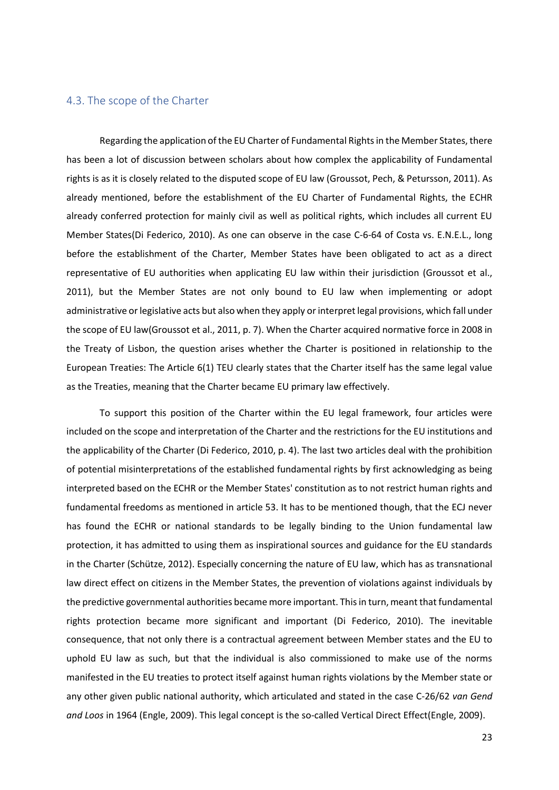#### <span id="page-22-0"></span>4.3. The scope of the Charter

Regarding the application of the EU Charter of Fundamental Rights in the Member States, there has been a lot of discussion between scholars about how complex the applicability of Fundamental rights is as it is closely related to the disputed scope of EU law (Groussot, Pech, & Petursson, 2011). As already mentioned, before the establishment of the EU Charter of Fundamental Rights, the ECHR already conferred protection for mainly civil as well as political rights, which includes all current EU Member States(Di Federico, 2010). As one can observe in the case C-6-64 of Costa vs. E.N.E.L., long before the establishment of the Charter, Member States have been obligated to act as a direct representative of EU authorities when applicating EU law within their jurisdiction (Groussot et al., 2011), but the Member States are not only bound to EU law when implementing or adopt administrative or legislative acts but also when they apply or interpret legal provisions, which fall under the scope of EU law(Groussot et al., 2011, p. 7). When the Charter acquired normative force in 2008 in the Treaty of Lisbon, the question arises whether the Charter is positioned in relationship to the European Treaties: The Article 6(1) TEU clearly states that the Charter itself has the same legal value as the Treaties, meaning that the Charter became EU primary law effectively.

To support this position of the Charter within the EU legal framework, four articles were included on the scope and interpretation of the Charter and the restrictions for the EU institutions and the applicability of the Charter (Di Federico, 2010, p. 4). The last two articles deal with the prohibition of potential misinterpretations of the established fundamental rights by first acknowledging as being interpreted based on the ECHR or the Member States' constitution as to not restrict human rights and fundamental freedoms as mentioned in article 53. It has to be mentioned though, that the ECJ never has found the ECHR or national standards to be legally binding to the Union fundamental law protection, it has admitted to using them as inspirational sources and guidance for the EU standards in the Charter (Schütze, 2012). Especially concerning the nature of EU law, which has as transnational law direct effect on citizens in the Member States, the prevention of violations against individuals by the predictive governmental authorities became more important. This in turn, meant that fundamental rights protection became more significant and important (Di Federico, 2010). The inevitable consequence, that not only there is a contractual agreement between Member states and the EU to uphold EU law as such, but that the individual is also commissioned to make use of the norms manifested in the EU treaties to protect itself against human rights violations by the Member state or any other given public national authority, which articulated and stated in the case C-26/62 *van Gend and Loos* in 1964 (Engle, 2009). This legal concept is the so-called Vertical Direct Effect(Engle, 2009).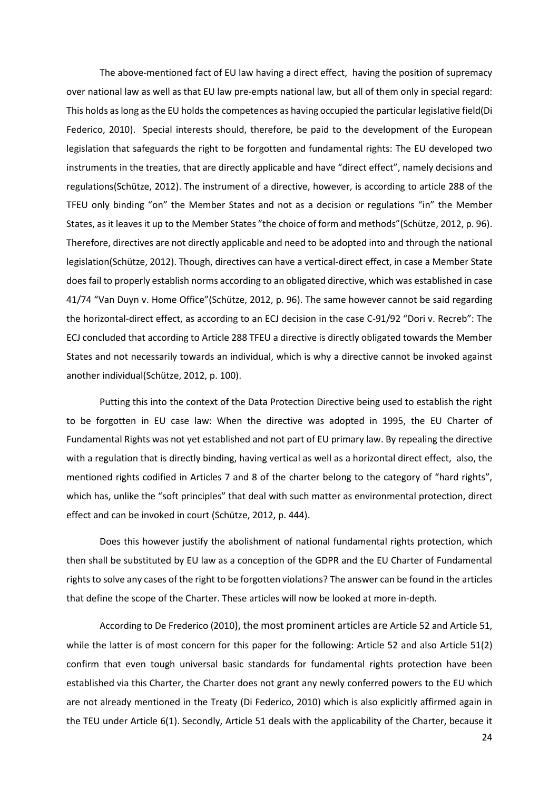The above-mentioned fact of EU law having a direct effect, having the position of supremacy over national law as well as that EU law pre-empts national law, but all of them only in special regard: This holds as long as the EU holds the competences as having occupied the particular legislative field(Di Federico, 2010). Special interests should, therefore, be paid to the development of the European legislation that safeguards the right to be forgotten and fundamental rights: The EU developed two instruments in the treaties, that are directly applicable and have "direct effect", namely decisions and regulations(Schütze, 2012). The instrument of a directive, however, is according to article 288 of the TFEU only binding "on" the Member States and not as a decision or regulations "in" the Member States, as it leaves it up to the Member States "the choice of form and methods"(Schütze, 2012, p. 96). Therefore, directives are not directly applicable and need to be adopted into and through the national legislation(Schütze, 2012). Though, directives can have a vertical-direct effect, in case a Member State does fail to properly establish norms according to an obligated directive, which was established in case 41/74 "Van Duyn v. Home Office"(Schütze, 2012, p. 96). The same however cannot be said regarding the horizontal-direct effect, as according to an ECJ decision in the case C-91/92 "Dori v. Recreb": The ECJ concluded that according to Article 288 TFEU a directive is directly obligated towards the Member States and not necessarily towards an individual, which is why a directive cannot be invoked against another individual(Schütze, 2012, p. 100).

Putting this into the context of the Data Protection Directive being used to establish the right to be forgotten in EU case law: When the directive was adopted in 1995, the EU Charter of Fundamental Rights was not yet established and not part of EU primary law. By repealing the directive with a regulation that is directly binding, having vertical as well as a horizontal direct effect, also, the mentioned rights codified in Articles 7 and 8 of the charter belong to the category of "hard rights", which has, unlike the "soft principles" that deal with such matter as environmental protection, direct effect and can be invoked in court (Schütze, 2012, p. 444).

Does this however justify the abolishment of national fundamental rights protection, which then shall be substituted by EU law as a conception of the GDPR and the EU Charter of Fundamental rights to solve any cases of the right to be forgotten violations? The answer can be found in the articles that define the scope of the Charter. These articles will now be looked at more in-depth.

According to De Frederico (2010), the most prominent articles are Article 52 and Article 51, while the latter is of most concern for this paper for the following: Article 52 and also Article 51(2) confirm that even tough universal basic standards for fundamental rights protection have been established via this Charter, the Charter does not grant any newly conferred powers to the EU which are not already mentioned in the Treaty (Di Federico, 2010) which is also explicitly affirmed again in the TEU under Article 6(1). Secondly, Article 51 deals with the applicability of the Charter, because it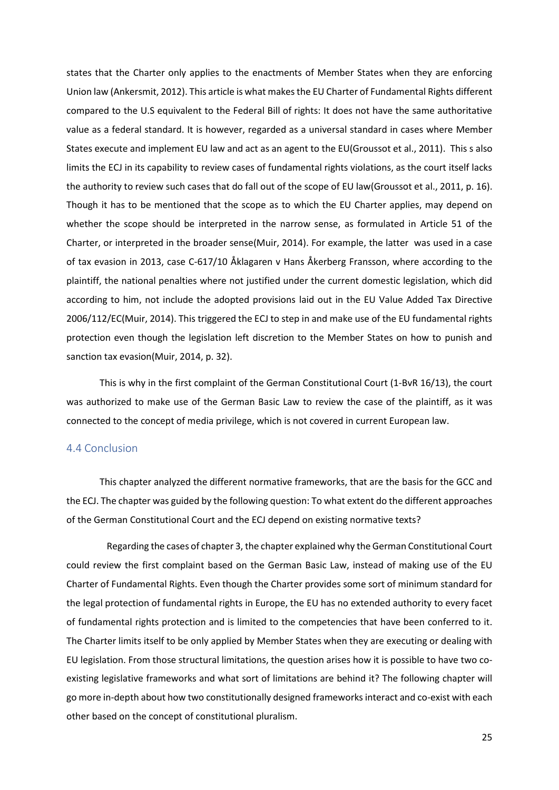states that the Charter only applies to the enactments of Member States when they are enforcing Union law (Ankersmit, 2012). This article is what makesthe EU Charter of Fundamental Rights different compared to the U.S equivalent to the Federal Bill of rights: It does not have the same authoritative value as a federal standard. It is however, regarded as a universal standard in cases where Member States execute and implement EU law and act as an agent to the EU(Groussot et al., 2011). This s also limits the ECJ in its capability to review cases of fundamental rights violations, as the court itself lacks the authority to review such cases that do fall out of the scope of EU law(Groussot et al., 2011, p. 16). Though it has to be mentioned that the scope as to which the EU Charter applies, may depend on whether the scope should be interpreted in the narrow sense, as formulated in Article 51 of the Charter, or interpreted in the broader sense(Muir, 2014). For example, the latter was used in a case of tax evasion in 2013, case C-617/10 Åklagaren v Hans Åkerberg Fransson, where according to the plaintiff, the national penalties where not justified under the current domestic legislation, which did according to him, not include the adopted provisions laid out in the EU Value Added Tax Directive 2006/112/EC(Muir, 2014). This triggered the ECJ to step in and make use of the EU fundamental rights protection even though the legislation left discretion to the Member States on how to punish and sanction tax evasion(Muir, 2014, p. 32).

This is why in the first complaint of the German Constitutional Court (1-BvR 16/13), the court was authorized to make use of the German Basic Law to review the case of the plaintiff, as it was connected to the concept of media privilege, which is not covered in current European law.

#### <span id="page-24-0"></span>4.4 Conclusion

This chapter analyzed the different normative frameworks, that are the basis for the GCC and the ECJ. The chapter was guided by the following question: To what extent do the different approaches of the German Constitutional Court and the ECJ depend on existing normative texts?

 Regarding the cases of chapter 3, the chapter explained why the German Constitutional Court could review the first complaint based on the German Basic Law, instead of making use of the EU Charter of Fundamental Rights. Even though the Charter provides some sort of minimum standard for the legal protection of fundamental rights in Europe, the EU has no extended authority to every facet of fundamental rights protection and is limited to the competencies that have been conferred to it. The Charter limits itself to be only applied by Member States when they are executing or dealing with EU legislation. From those structural limitations, the question arises how it is possible to have two coexisting legislative frameworks and what sort of limitations are behind it? The following chapter will go more in-depth about how two constitutionally designed frameworks interact and co-exist with each other based on the concept of constitutional pluralism.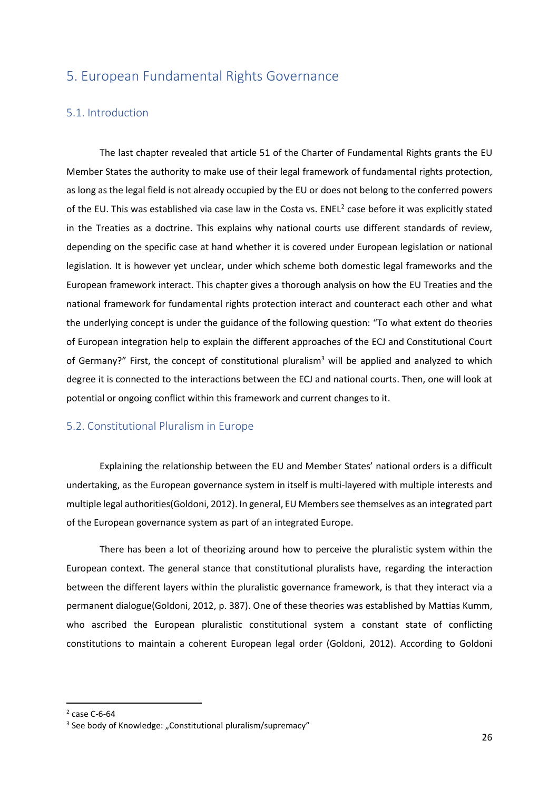# <span id="page-25-0"></span>5. European Fundamental Rights Governance

#### <span id="page-25-1"></span>5.1. Introduction

The last chapter revealed that article 51 of the Charter of Fundamental Rights grants the EU Member States the authority to make use of their legal framework of fundamental rights protection, as long as the legal field is not already occupied by the EU or does not belong to the conferred powers of the EU. This was established via case law in the Costa vs.  $ENEL<sup>2</sup>$  case before it was explicitly stated in the Treaties as a doctrine. This explains why national courts use different standards of review, depending on the specific case at hand whether it is covered under European legislation or national legislation. It is however yet unclear, under which scheme both domestic legal frameworks and the European framework interact. This chapter gives a thorough analysis on how the EU Treaties and the national framework for fundamental rights protection interact and counteract each other and what the underlying concept is under the guidance of the following question: "To what extent do theories of European integration help to explain the different approaches of the ECJ and Constitutional Court of Germany?" First, the concept of constitutional pluralism<sup>3</sup> will be applied and analyzed to which degree it is connected to the interactions between the ECJ and national courts. Then, one will look at potential or ongoing conflict within this framework and current changes to it.

#### <span id="page-25-2"></span>5.2. Constitutional Pluralism in Europe

Explaining the relationship between the EU and Member States' national orders is a difficult undertaking, as the European governance system in itself is multi-layered with multiple interests and multiple legal authorities(Goldoni, 2012). In general, EU Members see themselves as an integrated part of the European governance system as part of an integrated Europe.

There has been a lot of theorizing around how to perceive the pluralistic system within the European context. The general stance that constitutional pluralists have, regarding the interaction between the different layers within the pluralistic governance framework, is that they interact via a permanent dialogue(Goldoni, 2012, p. 387). One of these theories was established by Mattias Kumm, who ascribed the European pluralistic constitutional system a constant state of conflicting constitutions to maintain a coherent European legal order (Goldoni, 2012). According to Goldoni

<sup>2</sup> case C-6-64

<sup>&</sup>lt;sup>3</sup> See body of Knowledge: "Constitutional pluralism/supremacy"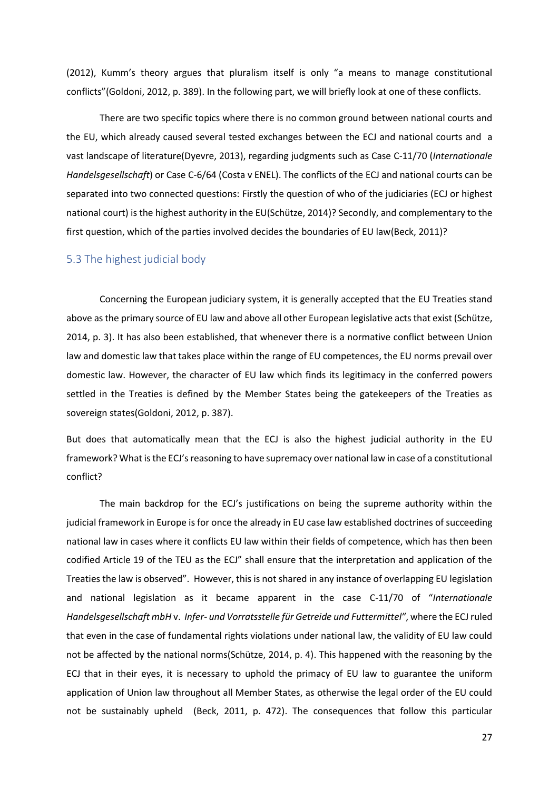(2012), Kumm's theory argues that pluralism itself is only "a means to manage constitutional conflicts"(Goldoni, 2012, p. 389). In the following part, we will briefly look at one of these conflicts.

There are two specific topics where there is no common ground between national courts and the EU, which already caused several tested exchanges between the ECJ and national courts and a vast landscape of literature(Dyevre, 2013), regarding judgments such as Case C-11/70 (*Internationale Handelsgesellschaft*) or Case C-6/64 (Costa v ENEL). The conflicts of the ECJ and national courts can be separated into two connected questions: Firstly the question of who of the judiciaries (ECJ or highest national court) is the highest authority in the EU(Schütze, 2014)? Secondly, and complementary to the first question, which of the parties involved decides the boundaries of EU law(Beck, 2011)?

#### <span id="page-26-0"></span>5.3 The highest judicial body

Concerning the European judiciary system, it is generally accepted that the EU Treaties stand above as the primary source of EU law and above all other European legislative acts that exist (Schütze, 2014, p. 3). It has also been established, that whenever there is a normative conflict between Union law and domestic law that takes place within the range of EU competences, the EU norms prevail over domestic law. However, the character of EU law which finds its legitimacy in the conferred powers settled in the Treaties is defined by the Member States being the gatekeepers of the Treaties as sovereign states(Goldoni, 2012, p. 387).

But does that automatically mean that the ECJ is also the highest judicial authority in the EU framework? What is the ECJ's reasoning to have supremacy over national law in case of a constitutional conflict?

The main backdrop for the ECJ's justifications on being the supreme authority within the judicial framework in Europe is for once the already in EU case law established doctrines of succeeding national law in cases where it conflicts EU law within their fields of competence, which has then been codified Article 19 of the TEU as the ECJ" shall ensure that the interpretation and application of the Treaties the law is observed". However, this is not shared in any instance of overlapping EU legislation and national legislation as it became apparent in the case C-11/70 of "*Internationale Handelsgesellschaft mbH* v. *Infer- und Vorratsstelle für Getreide und Futtermittel"*, where the ECJ ruled that even in the case of fundamental rights violations under national law, the validity of EU law could not be affected by the national norms(Schütze, 2014, p. 4). This happened with the reasoning by the ECJ that in their eyes, it is necessary to uphold the primacy of EU law to guarantee the uniform application of Union law throughout all Member States, as otherwise the legal order of the EU could not be sustainably upheld (Beck, 2011, p. 472). The consequences that follow this particular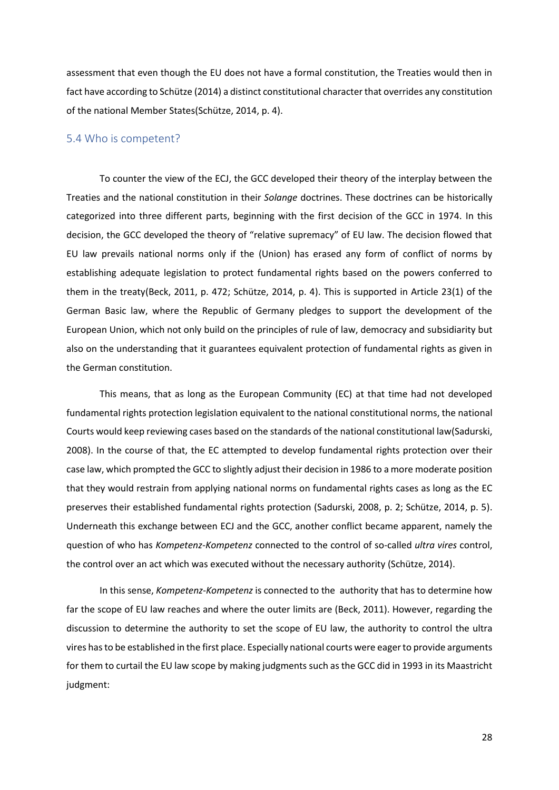assessment that even though the EU does not have a formal constitution, the Treaties would then in fact have according to Schütze (2014) a distinct constitutional character that overrides any constitution of the national Member States(Schütze, 2014, p. 4).

#### <span id="page-27-0"></span>5.4 Who is competent?

To counter the view of the ECJ, the GCC developed their theory of the interplay between the Treaties and the national constitution in their *Solange* doctrines. These doctrines can be historically categorized into three different parts, beginning with the first decision of the GCC in 1974. In this decision, the GCC developed the theory of "relative supremacy" of EU law. The decision flowed that EU law prevails national norms only if the (Union) has erased any form of conflict of norms by establishing adequate legislation to protect fundamental rights based on the powers conferred to them in the treaty(Beck, 2011, p. 472; Schütze, 2014, p. 4). This is supported in Article 23(1) of the German Basic law, where the Republic of Germany pledges to support the development of the European Union, which not only build on the principles of rule of law, democracy and subsidiarity but also on the understanding that it guarantees equivalent protection of fundamental rights as given in the German constitution.

This means, that as long as the European Community (EC) at that time had not developed fundamental rights protection legislation equivalent to the national constitutional norms, the national Courts would keep reviewing cases based on the standards of the national constitutional law(Sadurski, 2008). In the course of that, the EC attempted to develop fundamental rights protection over their case law, which prompted the GCC to slightly adjust their decision in 1986 to a more moderate position that they would restrain from applying national norms on fundamental rights cases as long as the EC preserves their established fundamental rights protection (Sadurski, 2008, p. 2; Schütze, 2014, p. 5). Underneath this exchange between ECJ and the GCC, another conflict became apparent, namely the question of who has *Kompetenz-Kompetenz* connected to the control of so-called *ultra vires* control, the control over an act which was executed without the necessary authority (Schütze, 2014).

In this sense, *Kompetenz-Kompetenz* is connected to the authority that has to determine how far the scope of EU law reaches and where the outer limits are (Beck, 2011). However, regarding the discussion to determine the authority to set the scope of EU law, the authority to control the ultra vires has to be established in the first place. Especially national courts were eager to provide arguments for them to curtail the EU law scope by making judgments such as the GCC did in 1993 in its Maastricht judgment: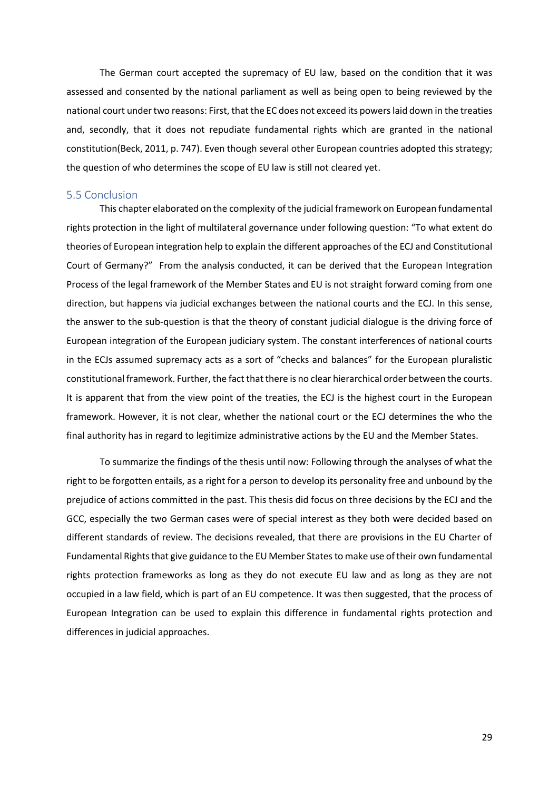The German court accepted the supremacy of EU law, based on the condition that it was assessed and consented by the national parliament as well as being open to being reviewed by the national court under two reasons: First, that the EC does not exceed its powers laid down in the treaties and, secondly, that it does not repudiate fundamental rights which are granted in the national constitution(Beck, 2011, p. 747). Even though several other European countries adopted this strategy; the question of who determines the scope of EU law is still not cleared yet.

#### <span id="page-28-0"></span>5.5 Conclusion

This chapter elaborated on the complexity of the judicial framework on European fundamental rights protection in the light of multilateral governance under following question: "To what extent do theories of European integration help to explain the different approaches of the ECJ and Constitutional Court of Germany?" From the analysis conducted, it can be derived that the European Integration Process of the legal framework of the Member States and EU is not straight forward coming from one direction, but happens via judicial exchanges between the national courts and the ECJ. In this sense, the answer to the sub-question is that the theory of constant judicial dialogue is the driving force of European integration of the European judiciary system. The constant interferences of national courts in the ECJs assumed supremacy acts as a sort of "checks and balances" for the European pluralistic constitutional framework. Further, the fact that there is no clear hierarchical order between the courts. It is apparent that from the view point of the treaties, the ECJ is the highest court in the European framework. However, it is not clear, whether the national court or the ECJ determines the who the final authority has in regard to legitimize administrative actions by the EU and the Member States.

To summarize the findings of the thesis until now: Following through the analyses of what the right to be forgotten entails, as a right for a person to develop its personality free and unbound by the prejudice of actions committed in the past. This thesis did focus on three decisions by the ECJ and the GCC, especially the two German cases were of special interest as they both were decided based on different standards of review. The decisions revealed, that there are provisions in the EU Charter of Fundamental Rights that give guidance to the EU Member States to make use of their own fundamental rights protection frameworks as long as they do not execute EU law and as long as they are not occupied in a law field, which is part of an EU competence. It was then suggested, that the process of European Integration can be used to explain this difference in fundamental rights protection and differences in judicial approaches.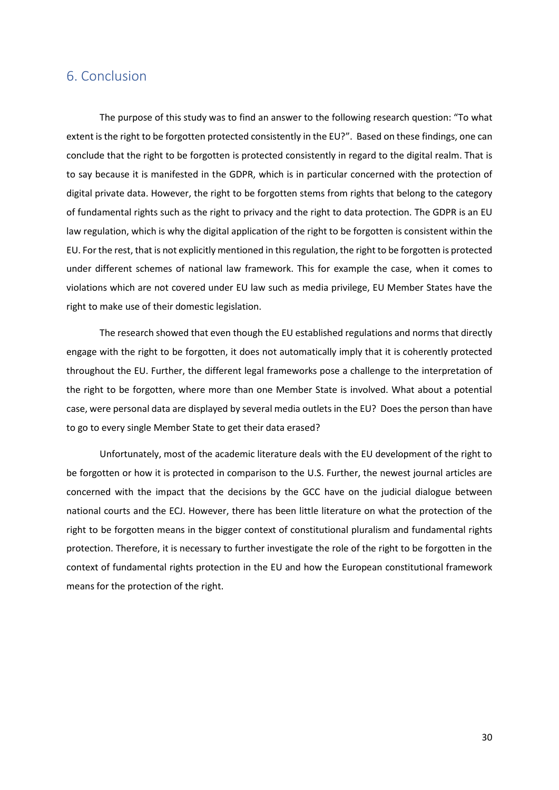# <span id="page-29-0"></span>6. Conclusion

The purpose of this study was to find an answer to the following research question: "To what extent is the right to be forgotten protected consistently in the EU?". Based on these findings, one can conclude that the right to be forgotten is protected consistently in regard to the digital realm. That is to say because it is manifested in the GDPR, which is in particular concerned with the protection of digital private data. However, the right to be forgotten stems from rights that belong to the category of fundamental rights such as the right to privacy and the right to data protection. The GDPR is an EU law regulation, which is why the digital application of the right to be forgotten is consistent within the EU. For the rest, that is not explicitly mentioned in this regulation, the right to be forgotten is protected under different schemes of national law framework. This for example the case, when it comes to violations which are not covered under EU law such as media privilege, EU Member States have the right to make use of their domestic legislation.

The research showed that even though the EU established regulations and norms that directly engage with the right to be forgotten, it does not automatically imply that it is coherently protected throughout the EU. Further, the different legal frameworks pose a challenge to the interpretation of the right to be forgotten, where more than one Member State is involved. What about a potential case, were personal data are displayed by several media outlets in the EU? Does the person than have to go to every single Member State to get their data erased?

Unfortunately, most of the academic literature deals with the EU development of the right to be forgotten or how it is protected in comparison to the U.S. Further, the newest journal articles are concerned with the impact that the decisions by the GCC have on the judicial dialogue between national courts and the ECJ. However, there has been little literature on what the protection of the right to be forgotten means in the bigger context of constitutional pluralism and fundamental rights protection. Therefore, it is necessary to further investigate the role of the right to be forgotten in the context of fundamental rights protection in the EU and how the European constitutional framework means for the protection of the right.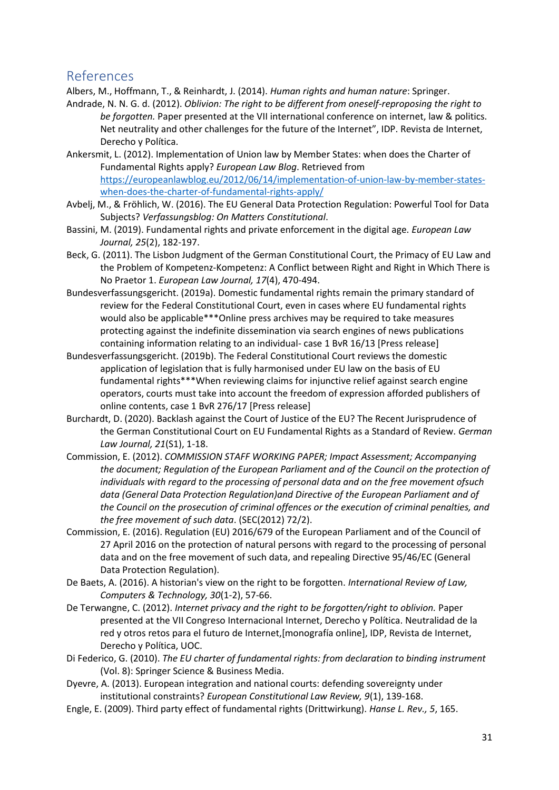# <span id="page-30-0"></span>References

Albers, M., Hoffmann, T., & Reinhardt, J. (2014). *Human rights and human nature*: Springer.

- Andrade, N. N. G. d. (2012). *Oblivion: The right to be different from oneself-reproposing the right to be forgotten.* Paper presented at the VII international conference on internet, law & politics. Net neutrality and other challenges for the future of the Internet", IDP. Revista de Internet, Derecho y Política.
- Ankersmit, L. (2012). Implementation of Union law by Member States: when does the Charter of Fundamental Rights apply? *European Law Blog*. Retrieved from [https://europeanlawblog.eu/2012/06/14/implementation-of-union-law-by-member-states](https://europeanlawblog.eu/2012/06/14/implementation-of-union-law-by-member-states-when-does-the-charter-of-fundamental-rights-apply/)[when-does-the-charter-of-fundamental-rights-apply/](https://europeanlawblog.eu/2012/06/14/implementation-of-union-law-by-member-states-when-does-the-charter-of-fundamental-rights-apply/)
- Avbelj, M., & Fröhlich, W. (2016). The EU General Data Protection Regulation: Powerful Tool for Data Subjects? *Verfassungsblog: On Matters Constitutional*.
- Bassini, M. (2019). Fundamental rights and private enforcement in the digital age. *European Law Journal, 25*(2), 182-197.
- Beck, G. (2011). The Lisbon Judgment of the German Constitutional Court, the Primacy of EU Law and the Problem of Kompetenz‐Kompetenz: A Conflict between Right and Right in Which There is No Praetor 1. *European Law Journal, 17*(4), 470-494.
- Bundesverfassungsgericht. (2019a). Domestic fundamental rights remain the primary standard of review for the Federal Constitutional Court, even in cases where EU fundamental rights would also be applicable\*\*\*Online press archives may be required to take measures protecting against the indefinite dissemination via search engines of news publications containing information relating to an individual- case 1 BvR 16/13 [Press release]
- Bundesverfassungsgericht. (2019b). The Federal Constitutional Court reviews the domestic application of legislation that is fully harmonised under EU law on the basis of EU fundamental rights\*\*\*When reviewing claims for injunctive relief against search engine operators, courts must take into account the freedom of expression afforded publishers of online contents, case 1 BvR 276/17 [Press release]
- Burchardt, D. (2020). Backlash against the Court of Justice of the EU? The Recent Jurisprudence of the German Constitutional Court on EU Fundamental Rights as a Standard of Review. *German Law Journal, 21*(S1), 1-18.
- Commission, E. (2012). *COMMISSION STAFF WORKING PAPER; Impact Assessment; Accompanying the document; Regulation of the European Parliament and of the Council on the protection of individuals with regard to the processing of personal data and on the free movement ofsuch data (General Data Protection Regulation)and Directive of the European Parliament and of the Council on the prosecution of criminal offences or the execution of criminal penalties, and the free movement of such data*. (SEC(2012) 72/2).
- Commission, E. (2016). Regulation (EU) 2016/679 of the European Parliament and of the Council of 27 April 2016 on the protection of natural persons with regard to the processing of personal data and on the free movement of such data, and repealing Directive 95/46/EC (General Data Protection Regulation).
- De Baets, A. (2016). A historian's view on the right to be forgotten. *International Review of Law, Computers & Technology, 30*(1-2), 57-66.
- De Terwangne, C. (2012). *Internet privacy and the right to be forgotten/right to oblivion.* Paper presented at the VII Congreso Internacional Internet, Derecho y Política. Neutralidad de la red y otros retos para el futuro de Internet,[monografía online], IDP, Revista de Internet, Derecho y Política, UOC.
- Di Federico, G. (2010). *The EU charter of fundamental rights: from declaration to binding instrument* (Vol. 8): Springer Science & Business Media.
- Dyevre, A. (2013). European integration and national courts: defending sovereignty under institutional constraints? *European Constitutional Law Review, 9*(1), 139-168.
- Engle, E. (2009). Third party effect of fundamental rights (Drittwirkung). *Hanse L. Rev., 5*, 165.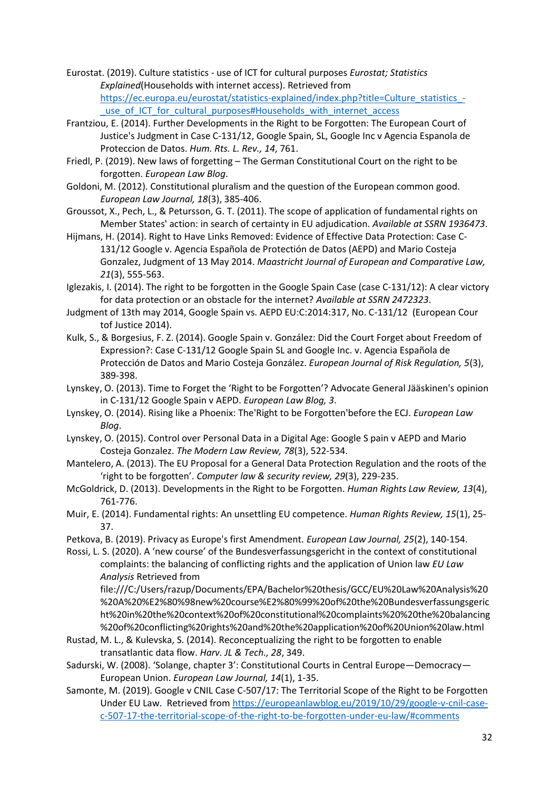Eurostat. (2019). Culture statistics - use of ICT for cultural purposes *Eurostat; Statistics Explained*(Households with internet access). Retrieved from [https://ec.europa.eu/eurostat/statistics-explained/index.php?title=Culture\\_statistics\\_-](https://ec.europa.eu/eurostat/statistics-explained/index.php?title=Culture_statistics_-_use_of_ICT_for_cultural_purposes#Households_with_internet_access)

use\_of\_ICT\_for\_cultural\_purposes#Households\_with\_internet\_access Frantziou, E. (2014). Further Developments in the Right to be Forgotten: The European Court of Justice's Judgment in Case C-131/12, Google Spain, SL, Google Inc v Agencia Espanola de

Proteccion de Datos. *Hum. Rts. L. Rev., 14*, 761. Friedl, P. (2019). New laws of forgetting – The German Constitutional Court on the right to be forgotten. *European Law Blog*.

Goldoni, M. (2012). Constitutional pluralism and the question of the European common good. *European Law Journal, 18*(3), 385-406.

Groussot, X., Pech, L., & Petursson, G. T. (2011). The scope of application of fundamental rights on Member States' action: in search of certainty in EU adjudication. *Available at SSRN 1936473*.

Hijmans, H. (2014). Right to Have Links Removed: Evidence of Effective Data Protection: Case C-131/12 Google v. Agencia Española de Protectión de Datos (AEPD) and Mario Costeja Gonzalez, Judgment of 13 May 2014. *Maastricht Journal of European and Comparative Law, 21*(3), 555-563.

Iglezakis, I. (2014). The right to be forgotten in the Google Spain Case (case C-131/12): A clear victory for data protection or an obstacle for the internet? *Available at SSRN 2472323*.

Judgment of 13th may 2014, Google Spain vs. AEPD EU:C:2014:317, No. C-131/12 (European Cour tof Justice 2014).

Kulk, S., & Borgesius, F. Z. (2014). Google Spain v. González: Did the Court Forget about Freedom of Expression?: Case C-131/12 Google Spain SL and Google Inc. v. Agencia Española de Protección de Datos and Mario Costeja González. *European Journal of Risk Regulation, 5*(3), 389-398.

Lynskey, O. (2013). Time to Forget the 'Right to be Forgotten'? Advocate General Jääskinen's opinion in C-131/12 Google Spain v AEPD. *European Law Blog, 3*.

Lynskey, O. (2014). Rising like a Phoenix: The'Right to be Forgotten'before the ECJ. *European Law Blog*.

Lynskey, O. (2015). Control over Personal Data in a Digital Age: Google S pain v AEPD and Mario Costeja Gonzalez. *The Modern Law Review, 78*(3), 522-534.

Mantelero, A. (2013). The EU Proposal for a General Data Protection Regulation and the roots of the 'right to be forgotten'. *Computer law & security review, 29*(3), 229-235.

McGoldrick, D. (2013). Developments in the Right to be Forgotten. *Human Rights Law Review, 13*(4), 761-776.

Muir, E. (2014). Fundamental rights: An unsettling EU competence. *Human Rights Review, 15*(1), 25- 37.

Petkova, B. (2019). Privacy as Europe's first Amendment. *European Law Journal, 25*(2), 140-154.

Rossi, L. S. (2020). A 'new course' of the Bundesverfassungsgericht in the context of constitutional complaints: the balancing of conflicting rights and the application of Union law *EU Law Analysis* Retrieved from

file:///C:/Users/razup/Documents/EPA/Bachelor%20thesis/GCC/EU%20Law%20Analysis%20 %20A%20%E2%80%98new%20course%E2%80%99%20of%20the%20Bundesverfassungsgeric ht%20in%20the%20context%20of%20constitutional%20complaints%20%20the%20balancing %20of%20conflicting%20rights%20and%20the%20application%20of%20Union%20law.html

Rustad, M. L., & Kulevska, S. (2014). Reconceptualizing the right to be forgotten to enable transatlantic data flow. *Harv. JL & Tech., 28*, 349.

Sadurski, W. (2008). 'Solange, chapter 3': Constitutional Courts in Central Europe—Democracy— European Union. *European Law Journal, 14*(1), 1-35.

Samonte, M. (2019). Google v CNIL Case C-507/17: The Territorial Scope of the Right to be Forgotten Under EU Law. Retrieved fro[m https://europeanlawblog.eu/2019/10/29/google-v-cnil-case](https://europeanlawblog.eu/2019/10/29/google-v-cnil-case-c-507-17-the-territorial-scope-of-the-right-to-be-forgotten-under-eu-law/#comments)[c-507-17-the-territorial-scope-of-the-right-to-be-forgotten-under-eu-law/#comments](https://europeanlawblog.eu/2019/10/29/google-v-cnil-case-c-507-17-the-territorial-scope-of-the-right-to-be-forgotten-under-eu-law/#comments)